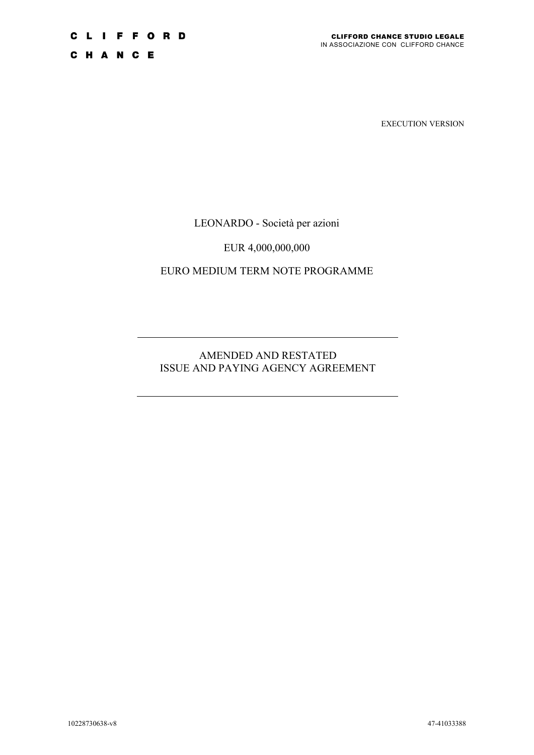C H A N C E

EXECUTION VERSION

LEONARDO - Società per azioni

EUR 4,000,000,000

EURO MEDIUM TERM NOTE PROGRAMME

AMENDED AND RESTATED ISSUE AND PAYING AGENCY AGREEMENT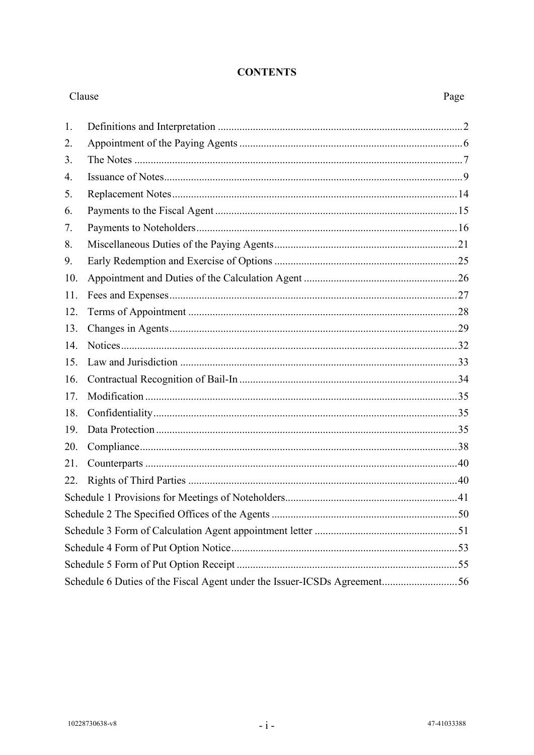#### **CONTENTS**

| Clause |                                                                          | Page |
|--------|--------------------------------------------------------------------------|------|
| 1.     |                                                                          |      |
| 2.     |                                                                          |      |
| 3.     |                                                                          |      |
| 4.     |                                                                          |      |
| 5.     |                                                                          |      |
| 6.     |                                                                          |      |
| 7.     |                                                                          |      |
| 8.     |                                                                          |      |
| 9.     |                                                                          |      |
| 10.    |                                                                          |      |
| 11.    |                                                                          |      |
| 12.    |                                                                          |      |
| 13.    |                                                                          |      |
| 14.    |                                                                          |      |
| 15.    |                                                                          |      |
| 16.    |                                                                          |      |
| 17.    |                                                                          |      |
| 18.    |                                                                          |      |
| 19.    |                                                                          |      |
| 20.    |                                                                          |      |
| 21.    |                                                                          |      |
| 22.    |                                                                          |      |
|        |                                                                          |      |
|        |                                                                          |      |
|        |                                                                          |      |
|        |                                                                          |      |
|        |                                                                          |      |
|        | Schedule 6 Duties of the Fiscal Agent under the Issuer-ICSDs Agreement56 |      |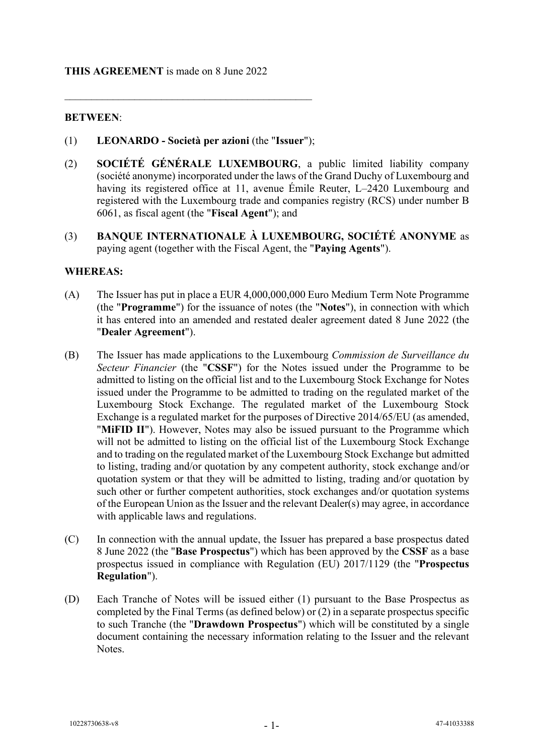#### **THIS AGREEMENT** is made on 8 June 2022

## **BETWEEN**:

(1) **LEONARDO - Società per azioni** (the "**Issuer**");

 $\mathcal{L}_\mathcal{L}$  , and the contribution of the contribution of the contribution of the contribution of the contribution of the contribution of the contribution of the contribution of the contribution of the contribution of

- (2) **SOCIÉTÉ GÉNÉRALE LUXEMBOURG**, a public limited liability company (société anonyme) incorporated under the laws of the Grand Duchy of Luxembourg and having its registered office at 11, avenue Émile Reuter, L–2420 Luxembourg and registered with the Luxembourg trade and companies registry (RCS) under number B 6061, as fiscal agent (the "**Fiscal Agent**"); and
- (3) **BANQUE INTERNATIONALE À LUXEMBOURG, SOCIÉTÉ ANONYME** as paying agent (together with the Fiscal Agent, the "**Paying Agents**").

## **WHEREAS:**

- (A) The Issuer has put in place a EUR 4,000,000,000 Euro Medium Term Note Programme (the "**Programme**") for the issuance of notes (the "**Notes**"), in connection with which it has entered into an amended and restated dealer agreement dated 8 June 2022 (the "**Dealer Agreement**").
- (B) The Issuer has made applications to the Luxembourg *Commission de Surveillance du Secteur Financier* (the "**CSSF**") for the Notes issued under the Programme to be admitted to listing on the official list and to the Luxembourg Stock Exchange for Notes issued under the Programme to be admitted to trading on the regulated market of the Luxembourg Stock Exchange. The regulated market of the Luxembourg Stock Exchange is a regulated market for the purposes of Directive 2014/65/EU (as amended, "**MiFID II**"). However, Notes may also be issued pursuant to the Programme which will not be admitted to listing on the official list of the Luxembourg Stock Exchange and to trading on the regulated market of the Luxembourg Stock Exchange but admitted to listing, trading and/or quotation by any competent authority, stock exchange and/or quotation system or that they will be admitted to listing, trading and/or quotation by such other or further competent authorities, stock exchanges and/or quotation systems of the European Union as the Issuer and the relevant Dealer(s) may agree, in accordance with applicable laws and regulations.
- (C) In connection with the annual update, the Issuer has prepared a base prospectus dated 8 June 2022 (the "**Base Prospectus**") which has been approved by the **CSSF** as a base prospectus issued in compliance with Regulation (EU) 2017/1129 (the "**Prospectus Regulation**").
- (D) Each Tranche of Notes will be issued either (1) pursuant to the Base Prospectus as completed by the Final Terms (as defined below) or (2) in a separate prospectus specific to such Tranche (the "**Drawdown Prospectus**") which will be constituted by a single document containing the necessary information relating to the Issuer and the relevant Notes.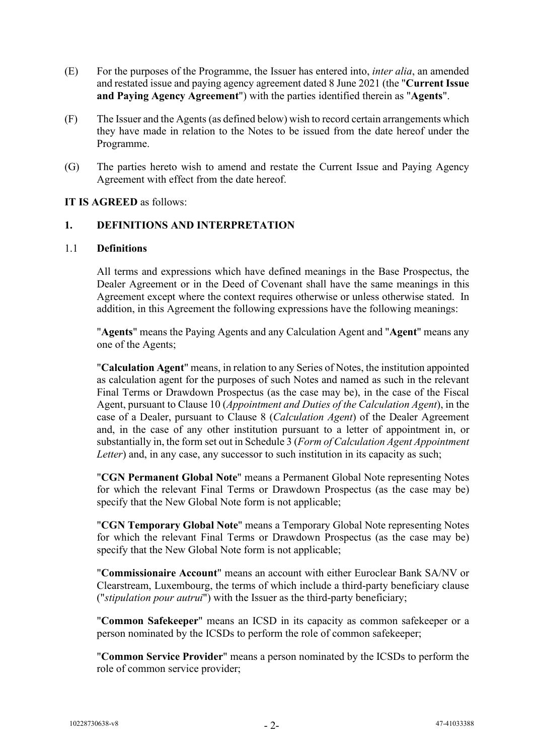- (E) For the purposes of the Programme, the Issuer has entered into, *inter alia*, an amended and restated issue and paying agency agreement dated 8 June 2021 (the "**Current Issue and Paying Agency Agreement**") with the parties identified therein as "**Agents**".
- (F) The Issuer and the Agents (as defined below) wish to record certain arrangements which they have made in relation to the Notes to be issued from the date hereof under the Programme.
- (G) The parties hereto wish to amend and restate the Current Issue and Paying Agency Agreement with effect from the date hereof.

**IT IS AGREED** as follows:

#### **1. DEFINITIONS AND INTERPRETATION**

#### 1.1 **Definitions**

All terms and expressions which have defined meanings in the Base Prospectus, the Dealer Agreement or in the Deed of Covenant shall have the same meanings in this Agreement except where the context requires otherwise or unless otherwise stated. In addition, in this Agreement the following expressions have the following meanings:

"**Agents**" means the Paying Agents and any Calculation Agent and "**Agent**" means any one of the Agents;

"**Calculation Agent**" means, in relation to any Series of Notes, the institution appointed as calculation agent for the purposes of such Notes and named as such in the relevant Final Terms or Drawdown Prospectus (as the case may be), in the case of the Fiscal Agent, pursuant to Clause [10](#page-27-0) (*Appointment and Duties of the Calculation Agent*), in the case of a Dealer, pursuant to Clause 8 (*Calculation Agent*) of the Dealer Agreement and, in the case of any other institution pursuant to a letter of appointment in, or substantially in, the form set out in [Schedule 3](#page-52-0) (*Form of Calculation Agent Appointment Letter*) and, in any case, any successor to such institution in its capacity as such;

"**CGN Permanent Global Note**" means a Permanent Global Note representing Notes for which the relevant Final Terms or Drawdown Prospectus (as the case may be) specify that the New Global Note form is not applicable;

"**CGN Temporary Global Note**" means a Temporary Global Note representing Notes for which the relevant Final Terms or Drawdown Prospectus (as the case may be) specify that the New Global Note form is not applicable;

"**Commissionaire Account**" means an account with either Euroclear Bank SA/NV or Clearstream, Luxembourg, the terms of which include a third-party beneficiary clause ("*stipulation pour autrui*") with the Issuer as the third-party beneficiary;

"**Common Safekeeper**" means an ICSD in its capacity as common safekeeper or a person nominated by the ICSDs to perform the role of common safekeeper;

"**Common Service Provider**" means a person nominated by the ICSDs to perform the role of common service provider;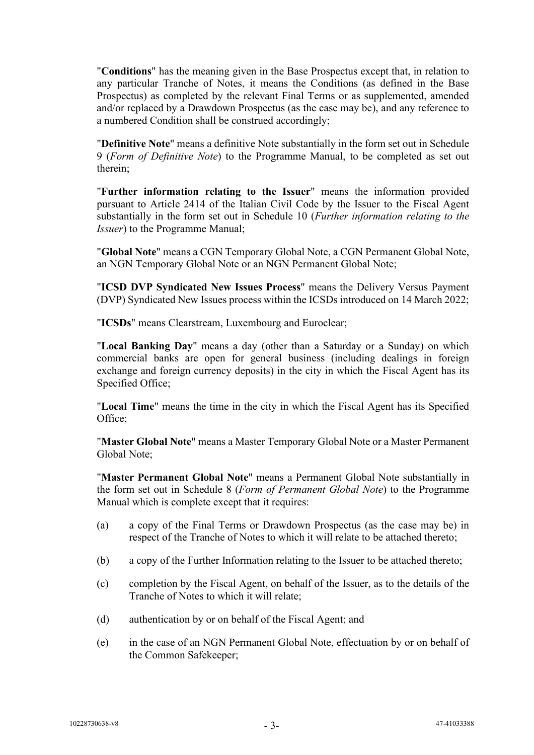"**Conditions**" has the meaning given in the Base Prospectus except that, in relation to any particular Tranche of Notes, it means the Conditions (as defined in the Base Prospectus) as completed by the relevant Final Terms or as supplemented, amended and/or replaced by a Drawdown Prospectus (as the case may be), and any reference to a numbered Condition shall be construed accordingly;

"**Definitive Note**" means a definitive Note substantially in the form set out in Schedule 9 (*Form of Definitive Note*) to the Programme Manual, to be completed as set out therein;

"**Further information relating to the Issuer**" means the information provided pursuant to Article 2414 of the Italian Civil Code by the Issuer to the Fiscal Agent substantially in the form set out in Schedule 10 (*Further information relating to the Issuer*) to the Programme Manual;

"**Global Note**" means a CGN Temporary Global Note, a CGN Permanent Global Note, an NGN Temporary Global Note or an NGN Permanent Global Note;

"**ICSD DVP Syndicated New Issues Process**" means the Delivery Versus Payment (DVP) Syndicated New Issues process within the ICSDs introduced on 14 March 2022;

"**ICSDs**" means Clearstream, Luxembourg and Euroclear;

"**Local Banking Day**" means a day (other than a Saturday or a Sunday) on which commercial banks are open for general business (including dealings in foreign exchange and foreign currency deposits) in the city in which the Fiscal Agent has its Specified Office;

"**Local Time**" means the time in the city in which the Fiscal Agent has its Specified Office;

"**Master Global Note**" means a Master Temporary Global Note or a Master Permanent Global Note;

"**Master Permanent Global Note**" means a Permanent Global Note substantially in the form set out in Schedule 8 (*Form of Permanent Global Note*) to the Programme Manual which is complete except that it requires:

- (a) a copy of the Final Terms or Drawdown Prospectus (as the case may be) in respect of the Tranche of Notes to which it will relate to be attached thereto;
- (b) a copy of the Further Information relating to the Issuer to be attached thereto;
- (c) completion by the Fiscal Agent, on behalf of the Issuer, as to the details of the Tranche of Notes to which it will relate;
- (d) authentication by or on behalf of the Fiscal Agent; and
- (e) in the case of an NGN Permanent Global Note, effectuation by or on behalf of the Common Safekeeper;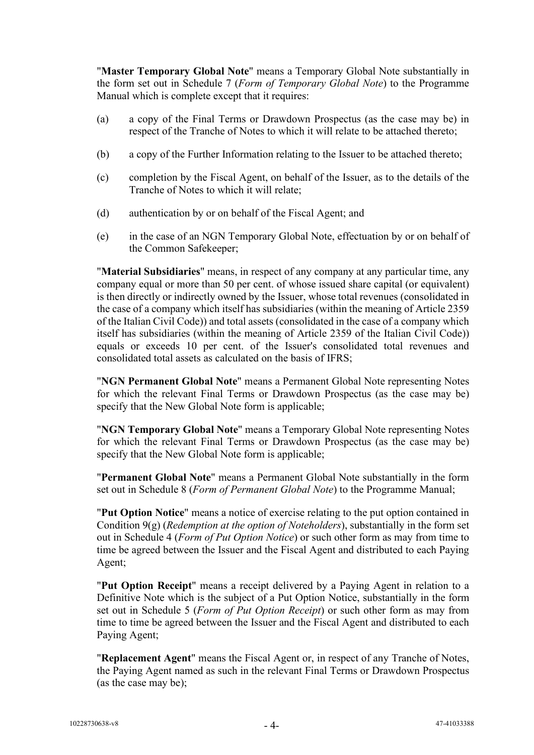"**Master Temporary Global Note**" means a Temporary Global Note substantially in the form set out in Schedule 7 (*Form of Temporary Global Note*) to the Programme Manual which is complete except that it requires:

- (a) a copy of the Final Terms or Drawdown Prospectus (as the case may be) in respect of the Tranche of Notes to which it will relate to be attached thereto;
- (b) a copy of the Further Information relating to the Issuer to be attached thereto;
- (c) completion by the Fiscal Agent, on behalf of the Issuer, as to the details of the Tranche of Notes to which it will relate;
- (d) authentication by or on behalf of the Fiscal Agent; and
- (e) in the case of an NGN Temporary Global Note, effectuation by or on behalf of the Common Safekeeper;

"**Material Subsidiaries**" means, in respect of any company at any particular time, any company equal or more than 50 per cent. of whose issued share capital (or equivalent) is then directly or indirectly owned by the Issuer, whose total revenues (consolidated in the case of a company which itself has subsidiaries (within the meaning of Article 2359 of the Italian Civil Code)) and total assets (consolidated in the case of a company which itself has subsidiaries (within the meaning of Article 2359 of the Italian Civil Code)) equals or exceeds 10 per cent. of the Issuer's consolidated total revenues and consolidated total assets as calculated on the basis of IFRS;

"**NGN Permanent Global Note**" means a Permanent Global Note representing Notes for which the relevant Final Terms or Drawdown Prospectus (as the case may be) specify that the New Global Note form is applicable;

"**NGN Temporary Global Note**" means a Temporary Global Note representing Notes for which the relevant Final Terms or Drawdown Prospectus (as the case may be) specify that the New Global Note form is applicable;

"**Permanent Global Note**" means a Permanent Global Note substantially in the form set out in Schedule 8 (*Form of Permanent Global Note*) to the Programme Manual;

"**Put Option Notice**" means a notice of exercise relating to the put option contained in Condition 9(g) (*Redemption at the option of Noteholders*), substantially in the form set out in [Schedule 4](#page-54-0) (*Form of Put Option Notice*) or such other form as may from time to time be agreed between the Issuer and the Fiscal Agent and distributed to each Paying Agent;

"**Put Option Receipt**" means a receipt delivered by a Paying Agent in relation to a Definitive Note which is the subject of a Put Option Notice, substantially in the form set out in [Schedule 5](#page-56-0) (*Form of Put Option Receipt*) or such other form as may from time to time be agreed between the Issuer and the Fiscal Agent and distributed to each Paying Agent;

"**Replacement Agent**" means the Fiscal Agent or, in respect of any Tranche of Notes, the Paying Agent named as such in the relevant Final Terms or Drawdown Prospectus (as the case may be);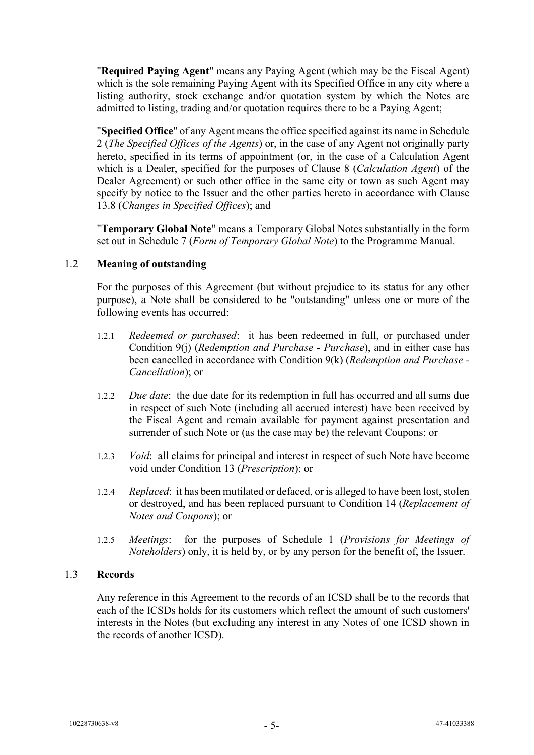"**Required Paying Agent**" means any Paying Agent (which may be the Fiscal Agent) which is the sole remaining Paying Agent with its Specified Office in any city where a listing authority, stock exchange and/or quotation system by which the Notes are admitted to listing, trading and/or quotation requires there to be a Paying Agent;

"**Specified Office**" of any Agent means the office specified against its name i[n Schedule](#page-51-0)  [2](#page-51-0) (*The Specified Offices of the Agents*) or, in the case of any Agent not originally party hereto, specified in its terms of appointment (or, in the case of a Calculation Agent which is a Dealer, specified for the purposes of Clause 8 (*Calculation Agent*) of the Dealer Agreement) or such other office in the same city or town as such Agent may specify by notice to the Issuer and the other parties hereto in accordance with Clause [13.8](#page-33-0) (*Changes in Specified Offices*); and

"**Temporary Global Note**" means a Temporary Global Notes substantially in the form set out in Schedule 7 (*Form of Temporary Global Note*) to the Programme Manual.

## 1.2 **Meaning of outstanding**

For the purposes of this Agreement (but without prejudice to its status for any other purpose), a Note shall be considered to be "outstanding" unless one or more of the following events has occurred:

- 1.2.1 *Redeemed or purchased*:it has been redeemed in full, or purchased under Condition 9(j) (*Redemption and Purchase - Purchase*), and in either case has been cancelled in accordance with Condition 9(k) (*Redemption and Purchase - Cancellation*); or
- 1.2.2 *Due date*:the due date for its redemption in full has occurred and all sums due in respect of such Note (including all accrued interest) have been received by the Fiscal Agent and remain available for payment against presentation and surrender of such Note or (as the case may be) the relevant Coupons; or
- 1.2.3 *Void*:all claims for principal and interest in respect of such Note have become void under Condition 13 (*Prescription*); or
- 1.2.4 *Replaced*:it has been mutilated or defaced, or is alleged to have been lost, stolen or destroyed, and has been replaced pursuant to Condition 14 (*Replacement of Notes and Coupons*); or
- 1.2.5 *Meetings*: for the purposes of [Schedule 1](#page-42-0) (*Provisions for Meetings of Noteholders*) only, it is held by, or by any person for the benefit of, the Issuer.

#### 1.3 **Records**

Any reference in this Agreement to the records of an ICSD shall be to the records that each of the ICSDs holds for its customers which reflect the amount of such customers' interests in the Notes (but excluding any interest in any Notes of one ICSD shown in the records of another ICSD).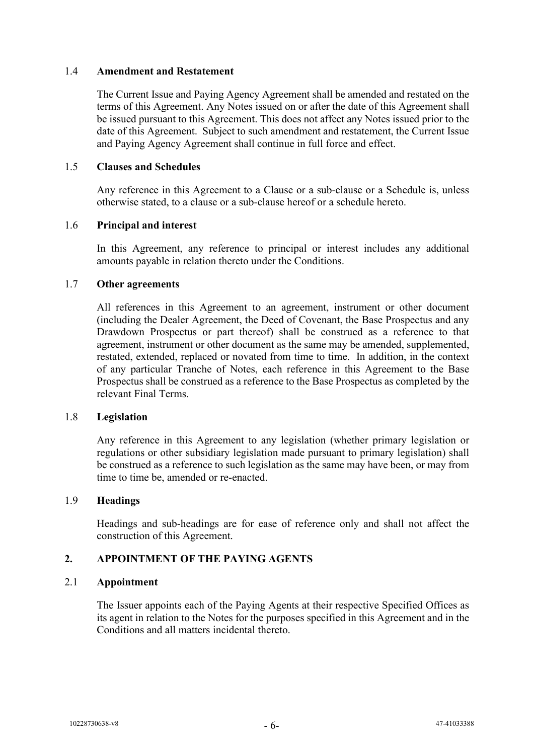#### 1.4 **Amendment and Restatement**

The Current Issue and Paying Agency Agreement shall be amended and restated on the terms of this Agreement. Any Notes issued on or after the date of this Agreement shall be issued pursuant to this Agreement. This does not affect any Notes issued prior to the date of this Agreement. Subject to such amendment and restatement, the Current Issue and Paying Agency Agreement shall continue in full force and effect.

## 1.5 **Clauses and Schedules**

Any reference in this Agreement to a Clause or a sub-clause or a Schedule is, unless otherwise stated, to a clause or a sub-clause hereof or a schedule hereto.

## 1.6 **Principal and interest**

In this Agreement, any reference to principal or interest includes any additional amounts payable in relation thereto under the Conditions.

#### 1.7 **Other agreements**

All references in this Agreement to an agreement, instrument or other document (including the Dealer Agreement, the Deed of Covenant, the Base Prospectus and any Drawdown Prospectus or part thereof) shall be construed as a reference to that agreement, instrument or other document as the same may be amended, supplemented, restated, extended, replaced or novated from time to time. In addition, in the context of any particular Tranche of Notes, each reference in this Agreement to the Base Prospectus shall be construed as a reference to the Base Prospectus as completed by the relevant Final Terms.

#### 1.8 **Legislation**

Any reference in this Agreement to any legislation (whether primary legislation or regulations or other subsidiary legislation made pursuant to primary legislation) shall be construed as a reference to such legislation as the same may have been, or may from time to time be, amended or re-enacted.

#### 1.9 **Headings**

Headings and sub-headings are for ease of reference only and shall not affect the construction of this Agreement.

## **2. APPOINTMENT OF THE PAYING AGENTS**

#### 2.1 **Appointment**

The Issuer appoints each of the Paying Agents at their respective Specified Offices as its agent in relation to the Notes for the purposes specified in this Agreement and in the Conditions and all matters incidental thereto.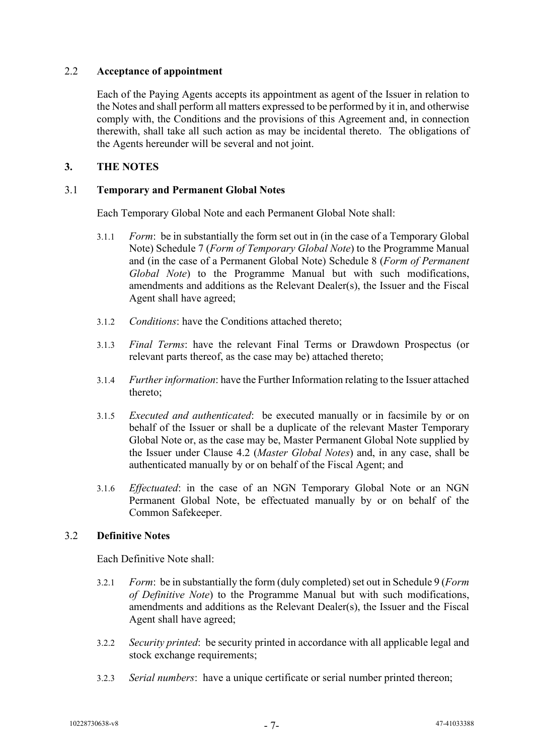## 2.2 **Acceptance of appointment**

Each of the Paying Agents accepts its appointment as agent of the Issuer in relation to the Notes and shall perform all matters expressed to be performed by it in, and otherwise comply with, the Conditions and the provisions of this Agreement and, in connection therewith, shall take all such action as may be incidental thereto. The obligations of the Agents hereunder will be several and not joint.

## **3. THE NOTES**

## 3.1 **Temporary and Permanent Global Notes**

Each Temporary Global Note and each Permanent Global Note shall:

- 3.1.1 *Form*:be in substantially the form set out in (in the case of a Temporary Global Note) Schedule 7 (*Form of Temporary Global Note*) to the Programme Manual and (in the case of a Permanent Global Note) Schedule 8 (*Form of Permanent Global Note*) to the Programme Manual but with such modifications, amendments and additions as the Relevant Dealer(s), the Issuer and the Fiscal Agent shall have agreed;
- 3.1.2 *Conditions*: have the Conditions attached thereto;
- 3.1.3 *Final Terms*: have the relevant Final Terms or Drawdown Prospectus (or relevant parts thereof, as the case may be) attached thereto;
- 3.1.4 *Further information*: have the Further Information relating to the Issuer attached thereto;
- 3.1.5 *Executed and authenticated*:be executed manually or in facsimile by or on behalf of the Issuer or shall be a duplicate of the relevant Master Temporary Global Note or, as the case may be, Master Permanent Global Note supplied by the Issuer under Clause [4.2](#page-10-0) (*Master Global Notes*) and, in any case, shall be authenticated manually by or on behalf of the Fiscal Agent; and
- 3.1.6 *Effectuated*: in the case of an NGN Temporary Global Note or an NGN Permanent Global Note, be effectuated manually by or on behalf of the Common Safekeeper.

## 3.2 **Definitive Notes**

Each Definitive Note shall:

- 3.2.1 *Form*: be in substantially the form (duly completed) set out in Schedule 9 (*Form*) *of Definitive Note*) to the Programme Manual but with such modifications, amendments and additions as the Relevant Dealer(s), the Issuer and the Fiscal Agent shall have agreed;
- 3.2.2 *Security printed*: be security printed in accordance with all applicable legal and stock exchange requirements;
- 3.2.3 *Serial numbers*: have a unique certificate or serial number printed thereon;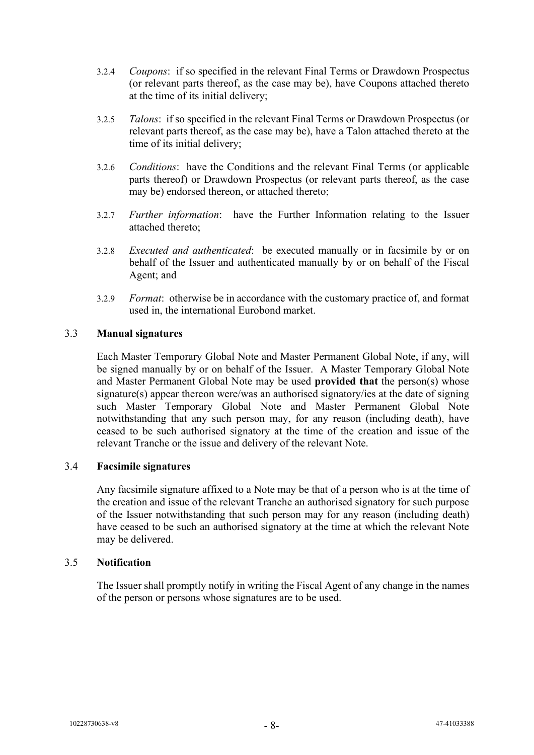- 3.2.4 *Coupons*: if so specified in the relevant Final Terms or Drawdown Prospectus (or relevant parts thereof, as the case may be), have Coupons attached thereto at the time of its initial delivery;
- 3.2.5 *Talons*: if so specified in the relevant Final Terms or Drawdown Prospectus (or relevant parts thereof, as the case may be), have a Talon attached thereto at the time of its initial delivery;
- 3.2.6 *Conditions*: have the Conditions and the relevant Final Terms (or applicable parts thereof) or Drawdown Prospectus (or relevant parts thereof, as the case may be) endorsed thereon, or attached thereto;
- 3.2.7 *Further information*: have the Further Information relating to the Issuer attached thereto;
- 3.2.8 *Executed and authenticated*:be executed manually or in facsimile by or on behalf of the Issuer and authenticated manually by or on behalf of the Fiscal Agent; and
- 3.2.9 *Format*:otherwise be in accordance with the customary practice of, and format used in, the international Eurobond market.

## 3.3 **Manual signatures**

Each Master Temporary Global Note and Master Permanent Global Note, if any, will be signed manually by or on behalf of the Issuer. A Master Temporary Global Note and Master Permanent Global Note may be used **provided that** the person(s) whose signature(s) appear thereon were/was an authorised signatory/ies at the date of signing such Master Temporary Global Note and Master Permanent Global Note notwithstanding that any such person may, for any reason (including death), have ceased to be such authorised signatory at the time of the creation and issue of the relevant Tranche or the issue and delivery of the relevant Note.

#### 3.4 **Facsimile signatures**

Any facsimile signature affixed to a Note may be that of a person who is at the time of the creation and issue of the relevant Tranche an authorised signatory for such purpose of the Issuer notwithstanding that such person may for any reason (including death) have ceased to be such an authorised signatory at the time at which the relevant Note may be delivered.

#### 3.5 **Notification**

The Issuer shall promptly notify in writing the Fiscal Agent of any change in the names of the person or persons whose signatures are to be used.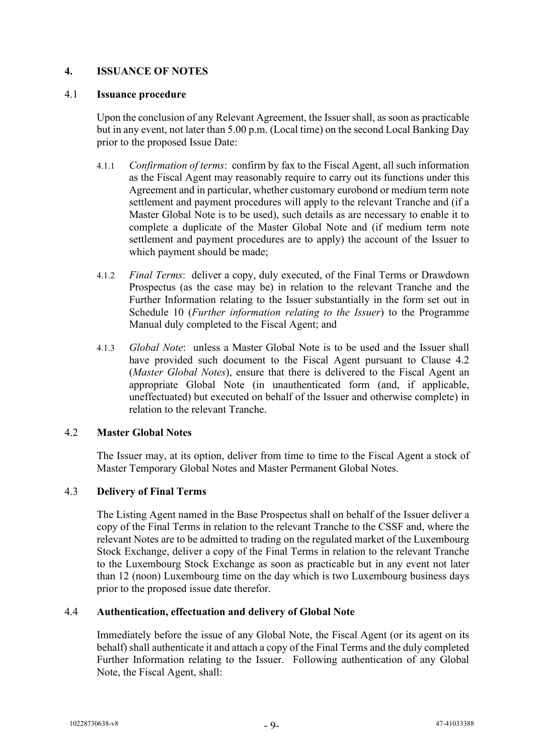## <span id="page-10-1"></span>**4. ISSUANCE OF NOTES**

#### 4.1 **Issuance procedure**

Upon the conclusion of any Relevant Agreement, the Issuer shall, as soon as practicable but in any event, not later than 5.00 p.m. (Local time) on the second Local Banking Day prior to the proposed Issue Date:

- 4.1.1 *Confirmation of terms*: confirm by fax to the Fiscal Agent, all such information as the Fiscal Agent may reasonably require to carry out its functions under this Agreement and in particular, whether customary eurobond or medium term note settlement and payment procedures will apply to the relevant Tranche and (if a Master Global Note is to be used), such details as are necessary to enable it to complete a duplicate of the Master Global Note and (if medium term note settlement and payment procedures are to apply) the account of the Issuer to which payment should be made;
- 4.1.2 *Final Terms*:deliver a copy, duly executed, of the Final Terms or Drawdown Prospectus (as the case may be) in relation to the relevant Tranche and the Further Information relating to the Issuer substantially in the form set out in Schedule 10 (*Further information relating to the Issuer*) to the Programme Manual duly completed to the Fiscal Agent; and
- 4.1.3 *Global Note*: unless a Master Global Note is to be used and the Issuer shall have provided such document to the Fiscal Agent pursuant to Clause [4.2](#page-10-0) (*Master Global Notes*), ensure that there is delivered to the Fiscal Agent an appropriate Global Note (in unauthenticated form (and, if applicable, uneffectuated) but executed on behalf of the Issuer and otherwise complete) in relation to the relevant Tranche.

## <span id="page-10-0"></span>4.2 **Master Global Notes**

The Issuer may, at its option, deliver from time to time to the Fiscal Agent a stock of Master Temporary Global Notes and Master Permanent Global Notes.

## 4.3 **Delivery of Final Terms**

The Listing Agent named in the Base Prospectus shall on behalf of the Issuer deliver a copy of the Final Terms in relation to the relevant Tranche to the CSSF and, where the relevant Notes are to be admitted to trading on the regulated market of the Luxembourg Stock Exchange, deliver a copy of the Final Terms in relation to the relevant Tranche to the Luxembourg Stock Exchange as soon as practicable but in any event not later than 12 (noon) Luxembourg time on the day which is two Luxembourg business days prior to the proposed issue date therefor.

## 4.4 **Authentication, effectuation and delivery of Global Note**

Immediately before the issue of any Global Note, the Fiscal Agent (or its agent on its behalf) shall authenticate it and attach a copy of the Final Terms and the duly completed Further Information relating to the Issuer. Following authentication of any Global Note, the Fiscal Agent, shall: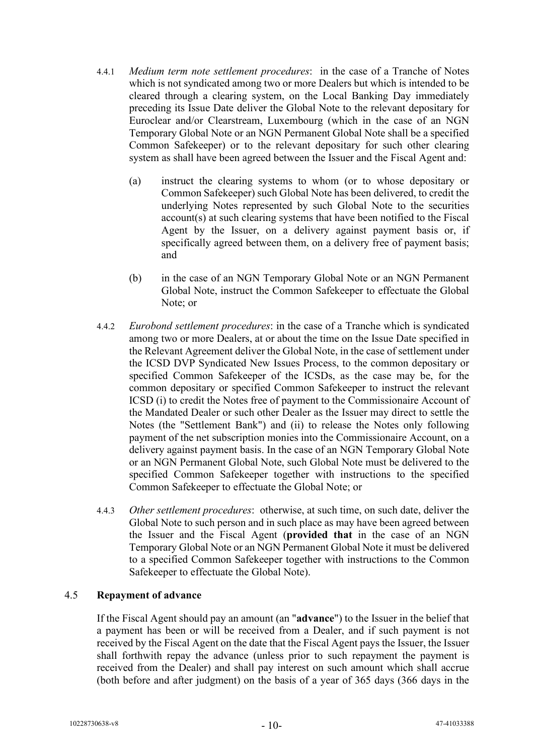- 4.4.1 *Medium term note settlement procedures*: in the case of a Tranche of Notes which is not syndicated among two or more Dealers but which is intended to be cleared through a clearing system, on the Local Banking Day immediately preceding its Issue Date deliver the Global Note to the relevant depositary for Euroclear and/or Clearstream, Luxembourg (which in the case of an NGN Temporary Global Note or an NGN Permanent Global Note shall be a specified Common Safekeeper) or to the relevant depositary for such other clearing system as shall have been agreed between the Issuer and the Fiscal Agent and:
	- (a) instruct the clearing systems to whom (or to whose depositary or Common Safekeeper) such Global Note has been delivered, to credit the underlying Notes represented by such Global Note to the securities account(s) at such clearing systems that have been notified to the Fiscal Agent by the Issuer, on a delivery against payment basis or, if specifically agreed between them, on a delivery free of payment basis; and
	- (b) in the case of an NGN Temporary Global Note or an NGN Permanent Global Note, instruct the Common Safekeeper to effectuate the Global Note; or
- 4.4.2 *Eurobond settlement procedures*: in the case of a Tranche which is syndicated among two or more Dealers, at or about the time on the Issue Date specified in the Relevant Agreement deliver the Global Note, in the case of settlement under the ICSD DVP Syndicated New Issues Process, to the common depositary or specified Common Safekeeper of the ICSDs, as the case may be, for the common depositary or specified Common Safekeeper to instruct the relevant ICSD (i) to credit the Notes free of payment to the Commissionaire Account of the Mandated Dealer or such other Dealer as the Issuer may direct to settle the Notes (the "Settlement Bank") and (ii) to release the Notes only following payment of the net subscription monies into the Commissionaire Account, on a delivery against payment basis. In the case of an NGN Temporary Global Note or an NGN Permanent Global Note, such Global Note must be delivered to the specified Common Safekeeper together with instructions to the specified Common Safekeeper to effectuate the Global Note; or
- 4.4.3 *Other settlement procedures*:otherwise, at such time, on such date, deliver the Global Note to such person and in such place as may have been agreed between the Issuer and the Fiscal Agent (**provided that** in the case of an NGN Temporary Global Note or an NGN Permanent Global Note it must be delivered to a specified Common Safekeeper together with instructions to the Common Safekeeper to effectuate the Global Note).

## 4.5 **Repayment of advance**

If the Fiscal Agent should pay an amount (an "**advance**") to the Issuer in the belief that a payment has been or will be received from a Dealer, and if such payment is not received by the Fiscal Agent on the date that the Fiscal Agent pays the Issuer, the Issuer shall forthwith repay the advance (unless prior to such repayment the payment is received from the Dealer) and shall pay interest on such amount which shall accrue (both before and after judgment) on the basis of a year of 365 days (366 days in the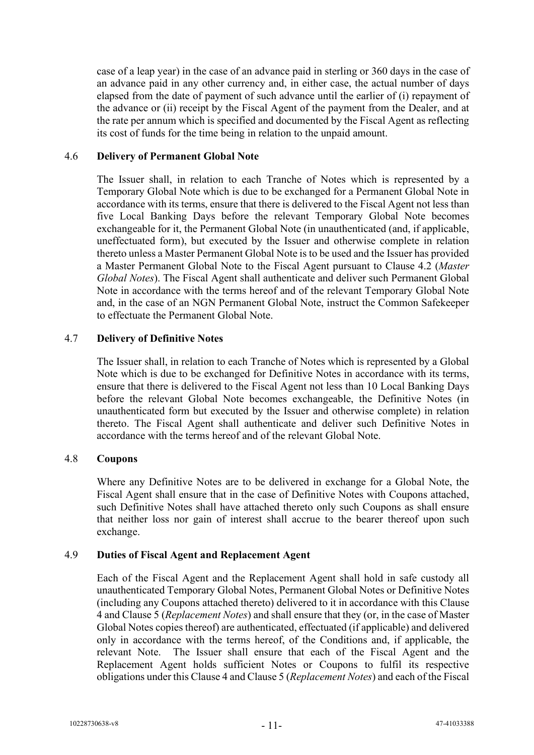case of a leap year) in the case of an advance paid in sterling or 360 days in the case of an advance paid in any other currency and, in either case, the actual number of days elapsed from the date of payment of such advance until the earlier of (i) repayment of the advance or (ii) receipt by the Fiscal Agent of the payment from the Dealer, and at the rate per annum which is specified and documented by the Fiscal Agent as reflecting its cost of funds for the time being in relation to the unpaid amount.

#### 4.6 **Delivery of Permanent Global Note**

The Issuer shall, in relation to each Tranche of Notes which is represented by a Temporary Global Note which is due to be exchanged for a Permanent Global Note in accordance with its terms, ensure that there is delivered to the Fiscal Agent not less than five Local Banking Days before the relevant Temporary Global Note becomes exchangeable for it, the Permanent Global Note (in unauthenticated (and, if applicable, uneffectuated form), but executed by the Issuer and otherwise complete in relation thereto unless a Master Permanent Global Note is to be used and the Issuer has provided a Master Permanent Global Note to the Fiscal Agent pursuant to Clause [4.2](#page-10-0) (*Master Global Notes*). The Fiscal Agent shall authenticate and deliver such Permanent Global Note in accordance with the terms hereof and of the relevant Temporary Global Note and, in the case of an NGN Permanent Global Note, instruct the Common Safekeeper to effectuate the Permanent Global Note.

#### <span id="page-12-1"></span>4.7 **Delivery of Definitive Notes**

The Issuer shall, in relation to each Tranche of Notes which is represented by a Global Note which is due to be exchanged for Definitive Notes in accordance with its terms, ensure that there is delivered to the Fiscal Agent not less than 10 Local Banking Days before the relevant Global Note becomes exchangeable, the Definitive Notes (in unauthenticated form but executed by the Issuer and otherwise complete) in relation thereto. The Fiscal Agent shall authenticate and deliver such Definitive Notes in accordance with the terms hereof and of the relevant Global Note.

#### 4.8 **Coupons**

Where any Definitive Notes are to be delivered in exchange for a Global Note, the Fiscal Agent shall ensure that in the case of Definitive Notes with Coupons attached, such Definitive Notes shall have attached thereto only such Coupons as shall ensure that neither loss nor gain of interest shall accrue to the bearer thereof upon such exchange.

#### <span id="page-12-0"></span>4.9 **Duties of Fiscal Agent and Replacement Agent**

Each of the Fiscal Agent and the Replacement Agent shall hold in safe custody all unauthenticated Temporary Global Notes, Permanent Global Notes or Definitive Notes (including any Coupons attached thereto) delivered to it in accordance with this Clause [4](#page-10-1) and Claus[e 5](#page-15-0) (*Replacement Notes*) and shall ensure that they (or, in the case of Master Global Notes copies thereof) are authenticated, effectuated (if applicable) and delivered only in accordance with the terms hereof, of the Conditions and, if applicable, the relevant Note. The Issuer shall ensure that each of the Fiscal Agent and the Replacement Agent holds sufficient Notes or Coupons to fulfil its respective obligations under this Clause [4](#page-10-1) and Clause [5](#page-15-0) (*Replacement Notes*) and each of the Fiscal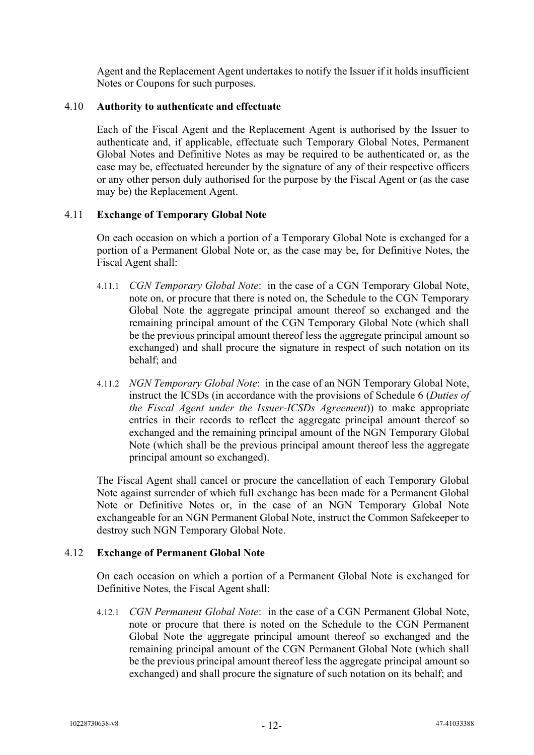Agent and the Replacement Agent undertakes to notify the Issuer if it holds insufficient Notes or Coupons for such purposes.

#### 4.10 **Authority to authenticate and effectuate**

Each of the Fiscal Agent and the Replacement Agent is authorised by the Issuer to authenticate and, if applicable, effectuate such Temporary Global Notes, Permanent Global Notes and Definitive Notes as may be required to be authenticated or, as the case may be, effectuated hereunder by the signature of any of their respective officers or any other person duly authorised for the purpose by the Fiscal Agent or (as the case may be) the Replacement Agent.

## <span id="page-13-0"></span>4.11 **Exchange of Temporary Global Note**

On each occasion on which a portion of a Temporary Global Note is exchanged for a portion of a Permanent Global Note or, as the case may be, for Definitive Notes, the Fiscal Agent shall:

- 4.11.1 *CGN Temporary Global Note*: in the case of a CGN Temporary Global Note, note on, or procure that there is noted on, the Schedule to the CGN Temporary Global Note the aggregate principal amount thereof so exchanged and the remaining principal amount of the CGN Temporary Global Note (which shall be the previous principal amount thereof less the aggregate principal amount so exchanged) and shall procure the signature in respect of such notation on its behalf; and
- 4.11.2 *NGN Temporary Global Note*: in the case of an NGN Temporary Global Note, instruct the ICSDs (in accordance with the provisions of Schedule 6 (*Duties of the Fiscal Agent under the Issuer-ICSDs Agreement*)) to make appropriate entries in their records to reflect the aggregate principal amount thereof so exchanged and the remaining principal amount of the NGN Temporary Global Note (which shall be the previous principal amount thereof less the aggregate principal amount so exchanged).

The Fiscal Agent shall cancel or procure the cancellation of each Temporary Global Note against surrender of which full exchange has been made for a Permanent Global Note or Definitive Notes or, in the case of an NGN Temporary Global Note exchangeable for an NGN Permanent Global Note, instruct the Common Safekeeper to destroy such NGN Temporary Global Note.

#### <span id="page-13-1"></span>4.12 **Exchange of Permanent Global Note**

On each occasion on which a portion of a Permanent Global Note is exchanged for Definitive Notes, the Fiscal Agent shall:

4.12.1 *CGN Permanent Global Note*: in the case of a CGN Permanent Global Note, note or procure that there is noted on the Schedule to the CGN Permanent Global Note the aggregate principal amount thereof so exchanged and the remaining principal amount of the CGN Permanent Global Note (which shall be the previous principal amount thereof less the aggregate principal amount so exchanged) and shall procure the signature of such notation on its behalf; and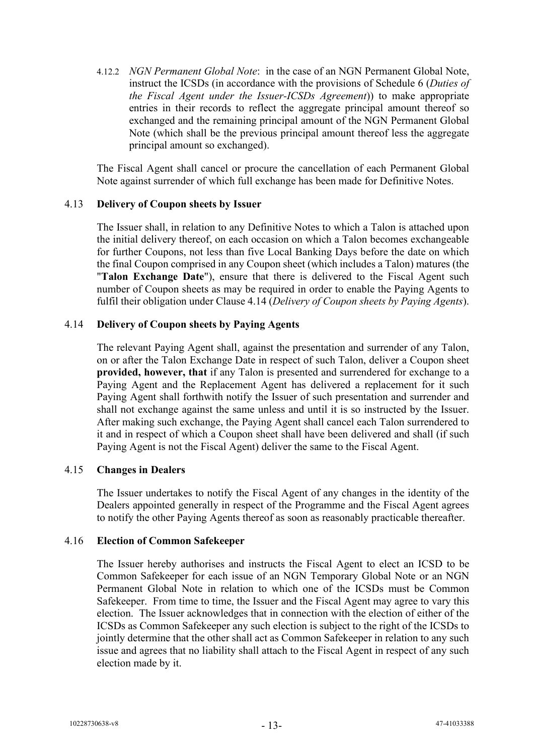4.12.2 *NGN Permanent Global Note*: in the case of an NGN Permanent Global Note, instruct the ICSDs (in accordance with the provisions of Schedule 6 (*Duties of the Fiscal Agent under the Issuer-ICSDs Agreement*)) to make appropriate entries in their records to reflect the aggregate principal amount thereof so exchanged and the remaining principal amount of the NGN Permanent Global Note (which shall be the previous principal amount thereof less the aggregate principal amount so exchanged).

The Fiscal Agent shall cancel or procure the cancellation of each Permanent Global Note against surrender of which full exchange has been made for Definitive Notes.

#### 4.13 **Delivery of Coupon sheets by Issuer**

The Issuer shall, in relation to any Definitive Notes to which a Talon is attached upon the initial delivery thereof, on each occasion on which a Talon becomes exchangeable for further Coupons, not less than five Local Banking Days before the date on which the final Coupon comprised in any Coupon sheet (which includes a Talon) matures (the "**Talon Exchange Date**"), ensure that there is delivered to the Fiscal Agent such number of Coupon sheets as may be required in order to enable the Paying Agents to fulfil their obligation under Clause [4.14](#page-14-0) (*Delivery of Coupon sheets by Paying Agents*).

#### <span id="page-14-0"></span>4.14 **Delivery of Coupon sheets by Paying Agents**

The relevant Paying Agent shall, against the presentation and surrender of any Talon, on or after the Talon Exchange Date in respect of such Talon, deliver a Coupon sheet **provided, however, that** if any Talon is presented and surrendered for exchange to a Paying Agent and the Replacement Agent has delivered a replacement for it such Paying Agent shall forthwith notify the Issuer of such presentation and surrender and shall not exchange against the same unless and until it is so instructed by the Issuer. After making such exchange, the Paying Agent shall cancel each Talon surrendered to it and in respect of which a Coupon sheet shall have been delivered and shall (if such Paying Agent is not the Fiscal Agent) deliver the same to the Fiscal Agent.

#### 4.15 **Changes in Dealers**

The Issuer undertakes to notify the Fiscal Agent of any changes in the identity of the Dealers appointed generally in respect of the Programme and the Fiscal Agent agrees to notify the other Paying Agents thereof as soon as reasonably practicable thereafter.

#### 4.16 **Election of Common Safekeeper**

The Issuer hereby authorises and instructs the Fiscal Agent to elect an ICSD to be Common Safekeeper for each issue of an NGN Temporary Global Note or an NGN Permanent Global Note in relation to which one of the ICSDs must be Common Safekeeper. From time to time, the Issuer and the Fiscal Agent may agree to vary this election. The Issuer acknowledges that in connection with the election of either of the ICSDs as Common Safekeeper any such election is subject to the right of the ICSDs to jointly determine that the other shall act as Common Safekeeper in relation to any such issue and agrees that no liability shall attach to the Fiscal Agent in respect of any such election made by it.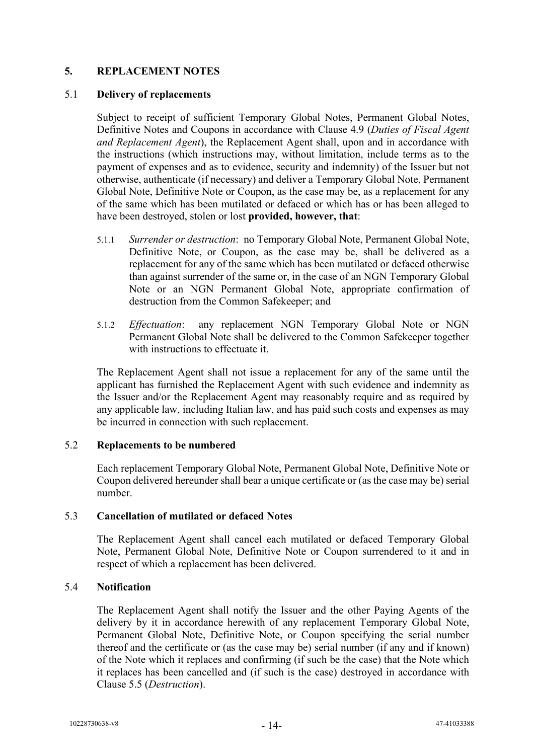## <span id="page-15-0"></span>**5. REPLACEMENT NOTES**

#### 5.1 **Delivery of replacements**

Subject to receipt of sufficient Temporary Global Notes, Permanent Global Notes, Definitive Notes and Coupons in accordance with Clause [4.9](#page-12-0) (*Duties of Fiscal Agent and Replacement Agent*), the Replacement Agent shall, upon and in accordance with the instructions (which instructions may, without limitation, include terms as to the payment of expenses and as to evidence, security and indemnity) of the Issuer but not otherwise, authenticate (if necessary) and deliver a Temporary Global Note, Permanent Global Note, Definitive Note or Coupon, as the case may be, as a replacement for any of the same which has been mutilated or defaced or which has or has been alleged to have been destroyed, stolen or lost **provided, however, that**:

- 5.1.1 *Surrender or destruction*: no Temporary Global Note, Permanent Global Note, Definitive Note, or Coupon, as the case may be, shall be delivered as a replacement for any of the same which has been mutilated or defaced otherwise than against surrender of the same or, in the case of an NGN Temporary Global Note or an NGN Permanent Global Note, appropriate confirmation of destruction from the Common Safekeeper; and
- 5.1.2 *Effectuation*: any replacement NGN Temporary Global Note or NGN Permanent Global Note shall be delivered to the Common Safekeeper together with instructions to effectuate it.

The Replacement Agent shall not issue a replacement for any of the same until the applicant has furnished the Replacement Agent with such evidence and indemnity as the Issuer and/or the Replacement Agent may reasonably require and as required by any applicable law, including Italian law, and has paid such costs and expenses as may be incurred in connection with such replacement.

#### 5.2 **Replacements to be numbered**

Each replacement Temporary Global Note, Permanent Global Note, Definitive Note or Coupon delivered hereunder shall bear a unique certificate or (as the case may be) serial number.

## <span id="page-15-1"></span>5.3 **Cancellation of mutilated or defaced Notes**

The Replacement Agent shall cancel each mutilated or defaced Temporary Global Note, Permanent Global Note, Definitive Note or Coupon surrendered to it and in respect of which a replacement has been delivered.

## 5.4 **Notification**

The Replacement Agent shall notify the Issuer and the other Paying Agents of the delivery by it in accordance herewith of any replacement Temporary Global Note, Permanent Global Note, Definitive Note, or Coupon specifying the serial number thereof and the certificate or (as the case may be) serial number (if any and if known) of the Note which it replaces and confirming (if such be the case) that the Note which it replaces has been cancelled and (if such is the case) destroyed in accordance with Clause [5.5](#page-16-0) (*Destruction*).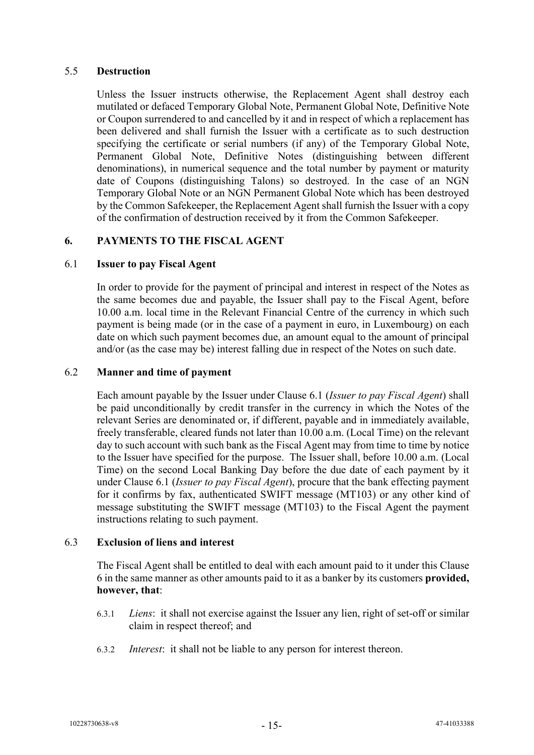#### <span id="page-16-0"></span>5.5 **Destruction**

Unless the Issuer instructs otherwise, the Replacement Agent shall destroy each mutilated or defaced Temporary Global Note, Permanent Global Note, Definitive Note or Coupon surrendered to and cancelled by it and in respect of which a replacement has been delivered and shall furnish the Issuer with a certificate as to such destruction specifying the certificate or serial numbers (if any) of the Temporary Global Note, Permanent Global Note, Definitive Notes (distinguishing between different denominations), in numerical sequence and the total number by payment or maturity date of Coupons (distinguishing Talons) so destroyed. In the case of an NGN Temporary Global Note or an NGN Permanent Global Note which has been destroyed by the Common Safekeeper, the Replacement Agent shall furnish the Issuer with a copy of the confirmation of destruction received by it from the Common Safekeeper.

## <span id="page-16-2"></span>**6. PAYMENTS TO THE FISCAL AGENT**

#### <span id="page-16-1"></span>6.1 **Issuer to pay Fiscal Agent**

In order to provide for the payment of principal and interest in respect of the Notes as the same becomes due and payable, the Issuer shall pay to the Fiscal Agent, before 10.00 a.m. local time in the Relevant Financial Centre of the currency in which such payment is being made (or in the case of a payment in euro, in Luxembourg) on each date on which such payment becomes due, an amount equal to the amount of principal and/or (as the case may be) interest falling due in respect of the Notes on such date.

#### <span id="page-16-3"></span>6.2 **Manner and time of payment**

Each amount payable by the Issuer under Clause [6.1](#page-16-1) (*Issuer to pay Fiscal Agent*) shall be paid unconditionally by credit transfer in the currency in which the Notes of the relevant Series are denominated or, if different, payable and in immediately available, freely transferable, cleared funds not later than 10.00 a.m. (Local Time) on the relevant day to such account with such bank as the Fiscal Agent may from time to time by notice to the Issuer have specified for the purpose. The Issuer shall, before 10.00 a.m. (Local Time) on the second Local Banking Day before the due date of each payment by it under Clause [6.1](#page-16-1) (*Issuer to pay Fiscal Agent*), procure that the bank effecting payment for it confirms by fax, authenticated SWIFT message (MT103) or any other kind of message substituting the SWIFT message (MT103) to the Fiscal Agent the payment instructions relating to such payment.

#### 6.3 **Exclusion of liens and interest**

The Fiscal Agent shall be entitled to deal with each amount paid to it under this Clause [6](#page-16-2) in the same manner as other amounts paid to it as a banker by its customers **provided, however, that**:

- 6.3.1 *Liens*: it shall not exercise against the Issuer any lien, right of set-off or similar claim in respect thereof; and
- 6.3.2 *Interest*:it shall not be liable to any person for interest thereon.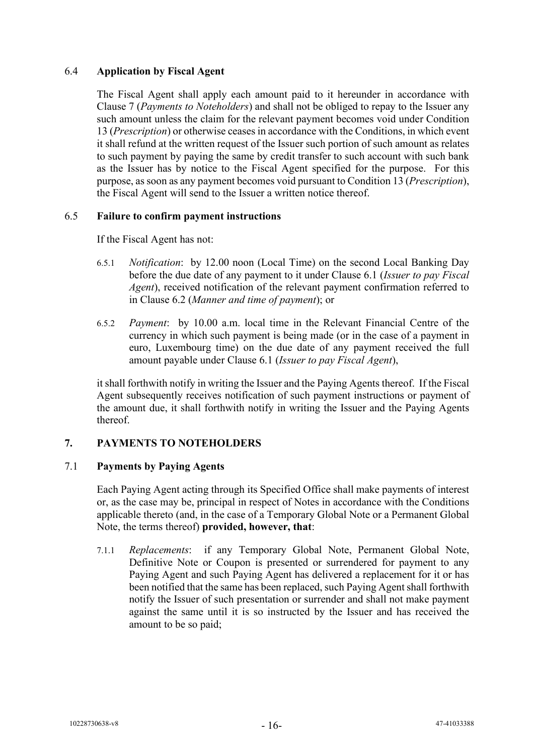## 6.4 **Application by Fiscal Agent**

The Fiscal Agent shall apply each amount paid to it hereunder in accordance with Clause [7](#page-17-0) (*Payments to Noteholders*) and shall not be obliged to repay to the Issuer any such amount unless the claim for the relevant payment becomes void under Condition 13 (*Prescription*) or otherwise ceases in accordance with the Conditions, in which event it shall refund at the written request of the Issuer such portion of such amount as relates to such payment by paying the same by credit transfer to such account with such bank as the Issuer has by notice to the Fiscal Agent specified for the purpose. For this purpose, as soon as any payment becomes void pursuant to Condition 13 (*Prescription*), the Fiscal Agent will send to the Issuer a written notice thereof.

#### <span id="page-17-1"></span>6.5 **Failure to confirm payment instructions**

If the Fiscal Agent has not:

- 6.5.1 *Notification*: by 12.00 noon (Local Time) on the second Local Banking Day before the due date of any payment to it under Clause [6.1](#page-16-1) (*Issuer to pay Fiscal Agent*), received notification of the relevant payment confirmation referred to in Clause [6.2](#page-16-3) (*Manner and time of payment*); or
- 6.5.2 *Payment*: by 10.00 a.m. local time in the Relevant Financial Centre of the currency in which such payment is being made (or in the case of a payment in euro, Luxembourg time) on the due date of any payment received the full amount payable under Clause [6.1](#page-16-1) (*Issuer to pay Fiscal Agent*),

it shall forthwith notify in writing the Issuer and the Paying Agents thereof. If the Fiscal Agent subsequently receives notification of such payment instructions or payment of the amount due, it shall forthwith notify in writing the Issuer and the Paying Agents thereof.

## <span id="page-17-0"></span>**7. PAYMENTS TO NOTEHOLDERS**

#### <span id="page-17-2"></span>7.1 **Payments by Paying Agents**

Each Paying Agent acting through its Specified Office shall make payments of interest or, as the case may be, principal in respect of Notes in accordance with the Conditions applicable thereto (and, in the case of a Temporary Global Note or a Permanent Global Note, the terms thereof) **provided, however, that**:

<span id="page-17-3"></span>7.1.1 *Replacements*: if any Temporary Global Note, Permanent Global Note, Definitive Note or Coupon is presented or surrendered for payment to any Paying Agent and such Paying Agent has delivered a replacement for it or has been notified that the same has been replaced, such Paying Agent shall forthwith notify the Issuer of such presentation or surrender and shall not make payment against the same until it is so instructed by the Issuer and has received the amount to be so paid;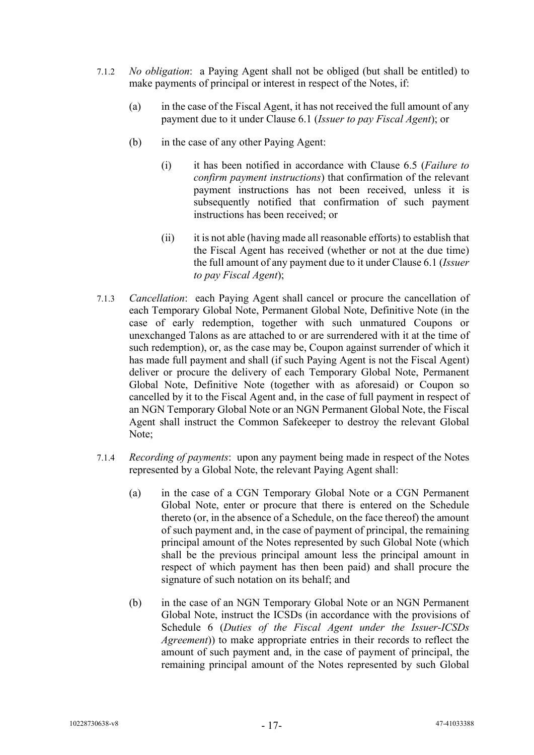- <span id="page-18-0"></span>7.1.2 *No obligation*:a Paying Agent shall not be obliged (but shall be entitled) to make payments of principal or interest in respect of the Notes, if:
	- (a) in the case of the Fiscal Agent, it has not received the full amount of any payment due to it under Clause [6.1](#page-16-1) (*Issuer to pay Fiscal Agent*); or
	- (b) in the case of any other Paying Agent:
		- (i) it has been notified in accordance with Clause [6.5](#page-17-1) (*Failure to confirm payment instructions*) that confirmation of the relevant payment instructions has not been received, unless it is subsequently notified that confirmation of such payment instructions has been received; or
		- (ii) it is not able (having made all reasonable efforts) to establish that the Fiscal Agent has received (whether or not at the due time) the full amount of any payment due to it under Clause [6.1](#page-16-1) (*Issuer to pay Fiscal Agent*);
- 7.1.3 *Cancellation*: each Paying Agent shall cancel or procure the cancellation of each Temporary Global Note, Permanent Global Note, Definitive Note (in the case of early redemption, together with such unmatured Coupons or unexchanged Talons as are attached to or are surrendered with it at the time of such redemption), or, as the case may be, Coupon against surrender of which it has made full payment and shall (if such Paying Agent is not the Fiscal Agent) deliver or procure the delivery of each Temporary Global Note, Permanent Global Note, Definitive Note (together with as aforesaid) or Coupon so cancelled by it to the Fiscal Agent and, in the case of full payment in respect of an NGN Temporary Global Note or an NGN Permanent Global Note, the Fiscal Agent shall instruct the Common Safekeeper to destroy the relevant Global Note;
- <span id="page-18-1"></span>7.1.4 *Recording of payments*:upon any payment being made in respect of the Notes represented by a Global Note, the relevant Paying Agent shall:
	- (a) in the case of a CGN Temporary Global Note or a CGN Permanent Global Note, enter or procure that there is entered on the Schedule thereto (or, in the absence of a Schedule, on the face thereof) the amount of such payment and, in the case of payment of principal, the remaining principal amount of the Notes represented by such Global Note (which shall be the previous principal amount less the principal amount in respect of which payment has then been paid) and shall procure the signature of such notation on its behalf; and
	- (b) in the case of an NGN Temporary Global Note or an NGN Permanent Global Note, instruct the ICSDs (in accordance with the provisions of Schedule 6 (*Duties of the Fiscal Agent under the Issuer-ICSDs Agreement*)) to make appropriate entries in their records to reflect the amount of such payment and, in the case of payment of principal, the remaining principal amount of the Notes represented by such Global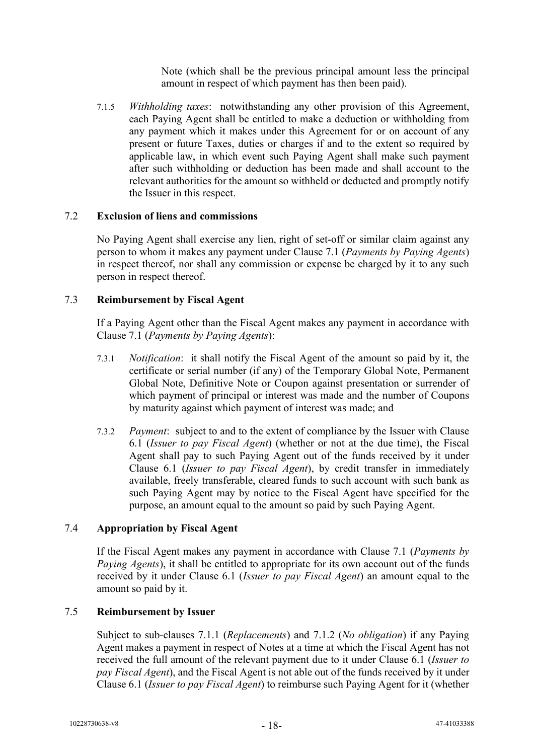Note (which shall be the previous principal amount less the principal amount in respect of which payment has then been paid).

7.1.5 *Withholding taxes*: notwithstanding any other provision of this Agreement, each Paying Agent shall be entitled to make a deduction or withholding from any payment which it makes under this Agreement for or on account of any present or future Taxes, duties or charges if and to the extent so required by applicable law, in which event such Paying Agent shall make such payment after such withholding or deduction has been made and shall account to the relevant authorities for the amount so withheld or deducted and promptly notify the Issuer in this respect.

## 7.2 **Exclusion of liens and commissions**

No Paying Agent shall exercise any lien, right of set-off or similar claim against any person to whom it makes any payment under Clause [7.1](#page-17-2) (*Payments by Paying Agents*) in respect thereof, nor shall any commission or expense be charged by it to any such person in respect thereof.

## <span id="page-19-0"></span>7.3 **Reimbursement by Fiscal Agent**

If a Paying Agent other than the Fiscal Agent makes any payment in accordance with Clause [7.1](#page-17-2) (*Payments by Paying Agents*):

- 7.3.1 *Notification*:it shall notify the Fiscal Agent of the amount so paid by it, the certificate or serial number (if any) of the Temporary Global Note, Permanent Global Note, Definitive Note or Coupon against presentation or surrender of which payment of principal or interest was made and the number of Coupons by maturity against which payment of interest was made; and
- 7.3.2 *Payment*:subject to and to the extent of compliance by the Issuer with Clause [6.1](#page-16-1) (*Issuer to pay Fiscal Agent*) (whether or not at the due time), the Fiscal Agent shall pay to such Paying Agent out of the funds received by it under Clause [6.1](#page-16-1) (*Issuer to pay Fiscal Agent*), by credit transfer in immediately available, freely transferable, cleared funds to such account with such bank as such Paying Agent may by notice to the Fiscal Agent have specified for the purpose, an amount equal to the amount so paid by such Paying Agent.

## <span id="page-19-1"></span>7.4 **Appropriation by Fiscal Agent**

If the Fiscal Agent makes any payment in accordance with Clause [7.1](#page-17-2) (*Payments by Paying Agents*), it shall be entitled to appropriate for its own account out of the funds received by it under Clause [6.1](#page-16-1) (*Issuer to pay Fiscal Agent*) an amount equal to the amount so paid by it.

## 7.5 **Reimbursement by Issuer**

Subject to sub-clauses [7.1.1](#page-17-3) (*Replacements*) and [7.1.2](#page-18-0) (*No obligation*) if any Paying Agent makes a payment in respect of Notes at a time at which the Fiscal Agent has not received the full amount of the relevant payment due to it under Clause [6.1](#page-16-1) (*Issuer to pay Fiscal Agent*), and the Fiscal Agent is not able out of the funds received by it under Clause [6.1](#page-16-1) (*Issuer to pay Fiscal Agent*) to reimburse such Paying Agent for it (whether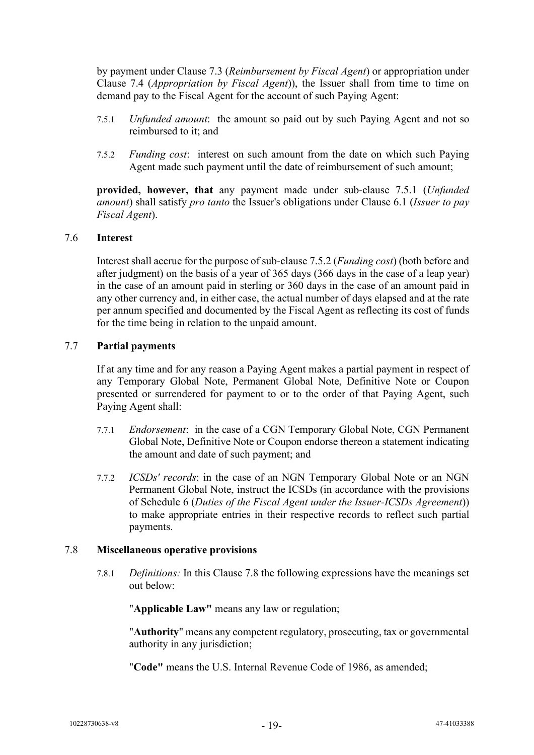by payment under Clause [7.3](#page-19-0) (*Reimbursement by Fiscal Agent*) or appropriation under Clause [7.4](#page-19-1) (*Appropriation by Fiscal Agent*)), the Issuer shall from time to time on demand pay to the Fiscal Agent for the account of such Paying Agent:

- <span id="page-20-0"></span>7.5.1 *Unfunded amount*:the amount so paid out by such Paying Agent and not so reimbursed to it; and
- <span id="page-20-1"></span>7.5.2 *Funding cost*: interest on such amount from the date on which such Paying Agent made such payment until the date of reimbursement of such amount;

**provided, however, that** any payment made under sub-clause [7.5.1](#page-20-0) (*Unfunded amount*) shall satisfy *pro tanto* the Issuer's obligations under Clause [6.1](#page-16-1) (*Issuer to pay Fiscal Agent*).

#### 7.6 **Interest**

Interest shall accrue for the purpose of sub-clause [7.5.2](#page-20-1) (*Funding cost*) (both before and after judgment) on the basis of a year of 365 days (366 days in the case of a leap year) in the case of an amount paid in sterling or 360 days in the case of an amount paid in any other currency and, in either case, the actual number of days elapsed and at the rate per annum specified and documented by the Fiscal Agent as reflecting its cost of funds for the time being in relation to the unpaid amount.

#### 7.7 **Partial payments**

If at any time and for any reason a Paying Agent makes a partial payment in respect of any Temporary Global Note, Permanent Global Note, Definitive Note or Coupon presented or surrendered for payment to or to the order of that Paying Agent, such Paying Agent shall:

- 7.7.1 *Endorsement*: in the case of a CGN Temporary Global Note, CGN Permanent Global Note, Definitive Note or Coupon endorse thereon a statement indicating the amount and date of such payment; and
- 7.7.2 *ICSDs' records*: in the case of an NGN Temporary Global Note or an NGN Permanent Global Note, instruct the ICSDs (in accordance with the provisions of Schedule 6 (*Duties of the Fiscal Agent under the Issuer-ICSDs Agreement*)) to make appropriate entries in their respective records to reflect such partial payments.

#### 7.8 **Miscellaneous operative provisions**

7.8.1 *Definitions:* In this Clause 7.8 the following expressions have the meanings set out below:

"**Applicable Law"** means any law or regulation;

"**Authority**" means any competent regulatory, prosecuting, tax or governmental authority in any jurisdiction;

"**Code"** means the U.S. Internal Revenue Code of 1986, as amended;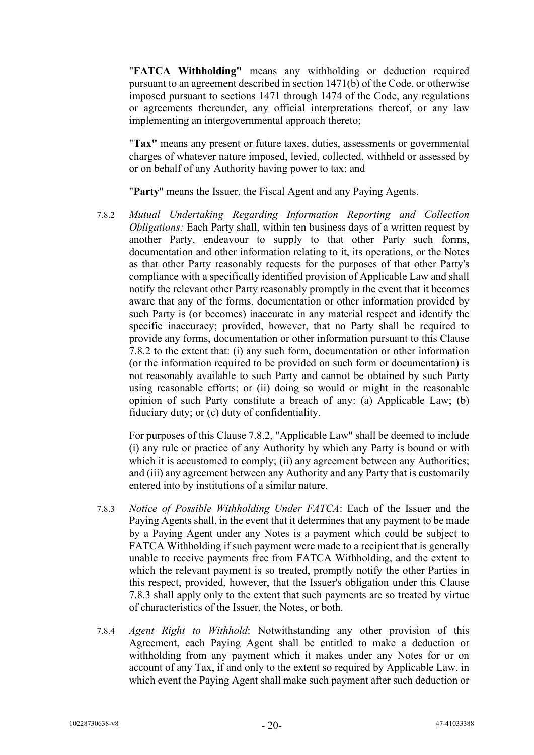"**FATCA Withholding"** means any withholding or deduction required pursuant to an agreement described in section 1471(b) of the Code, or otherwise imposed pursuant to sections 1471 through 1474 of the Code, any regulations or agreements thereunder, any official interpretations thereof, or any law implementing an intergovernmental approach thereto;

"**Tax"** means any present or future taxes, duties, assessments or governmental charges of whatever nature imposed, levied, collected, withheld or assessed by or on behalf of any Authority having power to tax; and

"**Party**" means the Issuer, the Fiscal Agent and any Paying Agents.

7.8.2 *Mutual Undertaking Regarding Information Reporting and Collection Obligations:* Each Party shall, within ten business days of a written request by another Party, endeavour to supply to that other Party such forms, documentation and other information relating to it, its operations, or the Notes as that other Party reasonably requests for the purposes of that other Party's compliance with a specifically identified provision of Applicable Law and shall notify the relevant other Party reasonably promptly in the event that it becomes aware that any of the forms, documentation or other information provided by such Party is (or becomes) inaccurate in any material respect and identify the specific inaccuracy; provided, however, that no Party shall be required to provide any forms, documentation or other information pursuant to this Clause 7.8.2 to the extent that: (i) any such form, documentation or other information (or the information required to be provided on such form or documentation) is not reasonably available to such Party and cannot be obtained by such Party using reasonable efforts; or (ii) doing so would or might in the reasonable opinion of such Party constitute a breach of any: (a) Applicable Law; (b) fiduciary duty; or (c) duty of confidentiality.

For purposes of this Clause 7.8.2, "Applicable Law" shall be deemed to include (i) any rule or practice of any Authority by which any Party is bound or with which it is accustomed to comply; (ii) any agreement between any Authorities; and (iii) any agreement between any Authority and any Party that is customarily entered into by institutions of a similar nature.

- 7.8.3 *Notice of Possible Withholding Under FATCA*: Each of the Issuer and the Paying Agents shall, in the event that it determines that any payment to be made by a Paying Agent under any Notes is a payment which could be subject to FATCA Withholding if such payment were made to a recipient that is generally unable to receive payments free from FATCA Withholding, and the extent to which the relevant payment is so treated, promptly notify the other Parties in this respect, provided, however, that the Issuer's obligation under this Clause 7.8.3 shall apply only to the extent that such payments are so treated by virtue of characteristics of the Issuer, the Notes, or both.
- 7.8.4 *Agent Right to Withhold*: Notwithstanding any other provision of this Agreement, each Paying Agent shall be entitled to make a deduction or withholding from any payment which it makes under any Notes for or on account of any Tax, if and only to the extent so required by Applicable Law, in which event the Paying Agent shall make such payment after such deduction or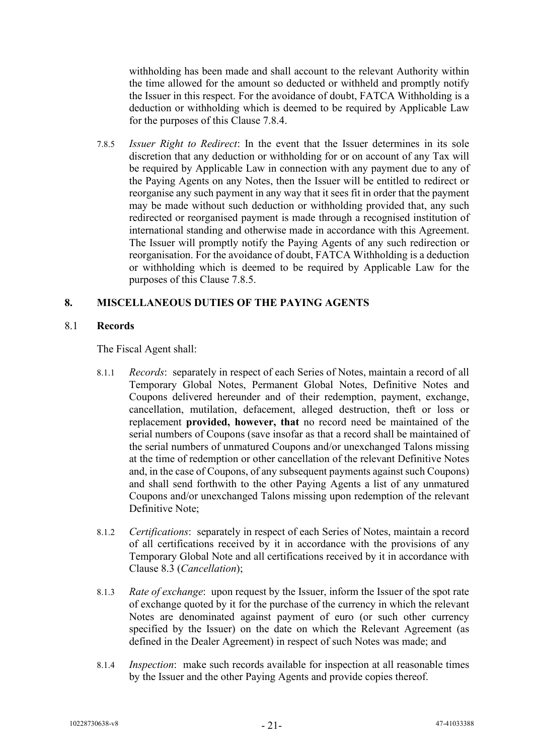withholding has been made and shall account to the relevant Authority within the time allowed for the amount so deducted or withheld and promptly notify the Issuer in this respect. For the avoidance of doubt, FATCA Withholding is a deduction or withholding which is deemed to be required by Applicable Law for the purposes of this Clause 7.8.4.

7.8.5 *Issuer Right to Redirect*: In the event that the Issuer determines in its sole discretion that any deduction or withholding for or on account of any Tax will be required by Applicable Law in connection with any payment due to any of the Paying Agents on any Notes, then the Issuer will be entitled to redirect or reorganise any such payment in any way that it sees fit in order that the payment may be made without such deduction or withholding provided that, any such redirected or reorganised payment is made through a recognised institution of international standing and otherwise made in accordance with this Agreement. The Issuer will promptly notify the Paying Agents of any such redirection or reorganisation. For the avoidance of doubt, FATCA Withholding is a deduction or withholding which is deemed to be required by Applicable Law for the purposes of this Clause 7.8.5.

## **8. MISCELLANEOUS DUTIES OF THE PAYING AGENTS**

#### <span id="page-22-0"></span>8.1 **Records**

The Fiscal Agent shall:

- 8.1.1 *Records*: separately in respect of each Series of Notes, maintain a record of all Temporary Global Notes, Permanent Global Notes, Definitive Notes and Coupons delivered hereunder and of their redemption, payment, exchange, cancellation, mutilation, defacement, alleged destruction, theft or loss or replacement **provided, however, that** no record need be maintained of the serial numbers of Coupons (save insofar as that a record shall be maintained of the serial numbers of unmatured Coupons and/or unexchanged Talons missing at the time of redemption or other cancellation of the relevant Definitive Notes and, in the case of Coupons, of any subsequent payments against such Coupons) and shall send forthwith to the other Paying Agents a list of any unmatured Coupons and/or unexchanged Talons missing upon redemption of the relevant Definitive Note;
- 8.1.2 *Certifications*: separately in respect of each Series of Notes, maintain a record of all certifications received by it in accordance with the provisions of any Temporary Global Note and all certifications received by it in accordance with Clause [8.3](#page-23-0) (*Cancellation*);
- 8.1.3 *Rate of exchange*: upon request by the Issuer, inform the Issuer of the spot rate of exchange quoted by it for the purchase of the currency in which the relevant Notes are denominated against payment of euro (or such other currency specified by the Issuer) on the date on which the Relevant Agreement (as defined in the Dealer Agreement) in respect of such Notes was made; and
- 8.1.4 *Inspection*: make such records available for inspection at all reasonable times by the Issuer and the other Paying Agents and provide copies thereof.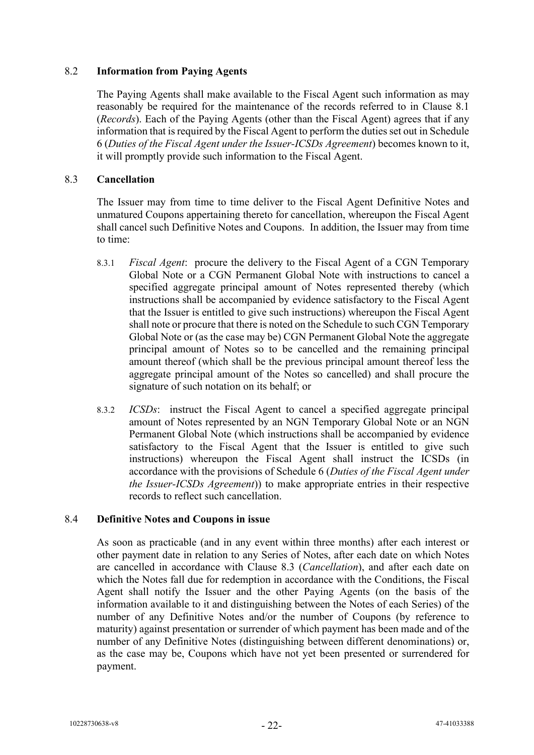## 8.2 **Information from Paying Agents**

The Paying Agents shall make available to the Fiscal Agent such information as may reasonably be required for the maintenance of the records referred to in Clause [8.1](#page-22-0) (*Records*). Each of the Paying Agents (other than the Fiscal Agent) agrees that if any information that is required by the Fiscal Agent to perform the duties set out in Schedule 6 (*Duties of the Fiscal Agent under the Issuer-ICSDs Agreement*) becomes known to it, it will promptly provide such information to the Fiscal Agent.

## <span id="page-23-0"></span>8.3 **Cancellation**

The Issuer may from time to time deliver to the Fiscal Agent Definitive Notes and unmatured Coupons appertaining thereto for cancellation, whereupon the Fiscal Agent shall cancel such Definitive Notes and Coupons. In addition, the Issuer may from time to time:

- 8.3.1 *Fiscal Agent*: procure the delivery to the Fiscal Agent of a CGN Temporary Global Note or a CGN Permanent Global Note with instructions to cancel a specified aggregate principal amount of Notes represented thereby (which instructions shall be accompanied by evidence satisfactory to the Fiscal Agent that the Issuer is entitled to give such instructions) whereupon the Fiscal Agent shall note or procure that there is noted on the Schedule to such CGN Temporary Global Note or (as the case may be) CGN Permanent Global Note the aggregate principal amount of Notes so to be cancelled and the remaining principal amount thereof (which shall be the previous principal amount thereof less the aggregate principal amount of the Notes so cancelled) and shall procure the signature of such notation on its behalf; or
- 8.3.2 *ICSDs*: instruct the Fiscal Agent to cancel a specified aggregate principal amount of Notes represented by an NGN Temporary Global Note or an NGN Permanent Global Note (which instructions shall be accompanied by evidence satisfactory to the Fiscal Agent that the Issuer is entitled to give such instructions) whereupon the Fiscal Agent shall instruct the ICSDs (in accordance with the provisions of Schedule 6 (*Duties of the Fiscal Agent under the Issuer-ICSDs Agreement*)) to make appropriate entries in their respective records to reflect such cancellation.

#### 8.4 **Definitive Notes and Coupons in issue**

As soon as practicable (and in any event within three months) after each interest or other payment date in relation to any Series of Notes, after each date on which Notes are cancelled in accordance with Clause [8.3](#page-23-0) (*Cancellation*), and after each date on which the Notes fall due for redemption in accordance with the Conditions, the Fiscal Agent shall notify the Issuer and the other Paying Agents (on the basis of the information available to it and distinguishing between the Notes of each Series) of the number of any Definitive Notes and/or the number of Coupons (by reference to maturity) against presentation or surrender of which payment has been made and of the number of any Definitive Notes (distinguishing between different denominations) or, as the case may be, Coupons which have not yet been presented or surrendered for payment.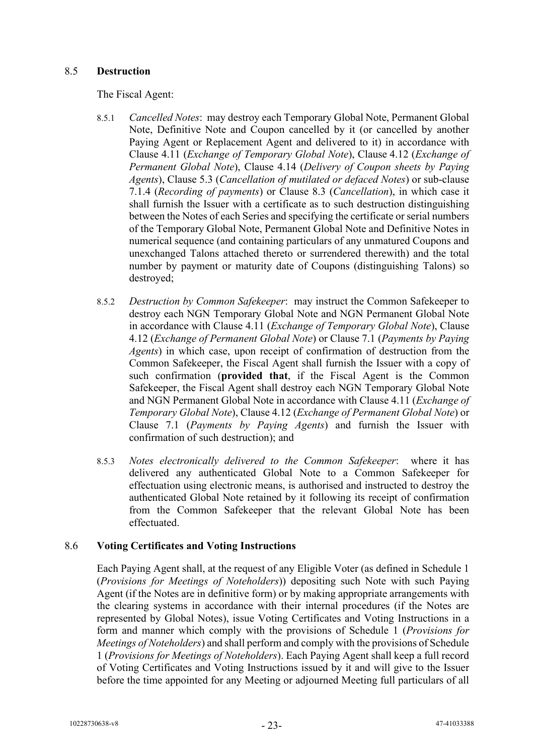## 8.5 **Destruction**

The Fiscal Agent:

- 8.5.1 *Cancelled Notes*: may destroy each Temporary Global Note, Permanent Global Note, Definitive Note and Coupon cancelled by it (or cancelled by another Paying Agent or Replacement Agent and delivered to it) in accordance with Clause [4.11](#page-13-0) (*Exchange of Temporary Global Note*), Clause [4.12](#page-13-1) (*Exchange of Permanent Global Note*), Clause [4.14](#page-14-0) (*Delivery of Coupon sheets by Paying Agents*), Clause [5.3](#page-15-1) (*Cancellation of mutilated or defaced Notes*) or sub-clause [7.1.4](#page-18-1) (*Recording of payments*) or Clause [8.3](#page-23-0) (*Cancellation*), in which case it shall furnish the Issuer with a certificate as to such destruction distinguishing between the Notes of each Series and specifying the certificate or serial numbers of the Temporary Global Note, Permanent Global Note and Definitive Notes in numerical sequence (and containing particulars of any unmatured Coupons and unexchanged Talons attached thereto or surrendered therewith) and the total number by payment or maturity date of Coupons (distinguishing Talons) so destroyed;
- 8.5.2 *Destruction by Common Safekeeper*: may instruct the Common Safekeeper to destroy each NGN Temporary Global Note and NGN Permanent Global Note in accordance with Clause [4.11](#page-13-0) (*Exchange of Temporary Global Note*), Clause [4.12](#page-13-1) (*Exchange of Permanent Global Note*) or Clause [7.1](#page-17-2) (*Payments by Paying Agents*) in which case, upon receipt of confirmation of destruction from the Common Safekeeper, the Fiscal Agent shall furnish the Issuer with a copy of such confirmation (**provided that**, if the Fiscal Agent is the Common Safekeeper, the Fiscal Agent shall destroy each NGN Temporary Global Note and NGN Permanent Global Note in accordance with Clause [4.11](#page-13-0) (*Exchange of Temporary Global Note*), Clause [4.12](#page-13-1) (*Exchange of Permanent Global Note*) or Clause [7.1](#page-17-2) (*Payments by Paying Agents*) and furnish the Issuer with confirmation of such destruction); and
- 8.5.3 *Notes electronically delivered to the Common Safekeeper*: where it has delivered any authenticated Global Note to a Common Safekeeper for effectuation using electronic means, is authorised and instructed to destroy the authenticated Global Note retained by it following its receipt of confirmation from the Common Safekeeper that the relevant Global Note has been effectuated.

## 8.6 **Voting Certificates and Voting Instructions**

Each Paying Agent shall, at the request of any Eligible Voter (as defined in Schedule 1 (*Provisions for Meetings of Noteholders*)) depositing such Note with such Paying Agent (if the Notes are in definitive form) or by making appropriate arrangements with the clearing systems in accordance with their internal procedures (if the Notes are represented by Global Notes), issue Voting Certificates and Voting Instructions in a form and manner which comply with the provisions of Schedule 1 (*Provisions for Meetings of Noteholders*) and shall perform and comply with the provisions of Schedule 1 (*Provisions for Meetings of Noteholders*). Each Paying Agent shall keep a full record of Voting Certificates and Voting Instructions issued by it and will give to the Issuer before the time appointed for any Meeting or adjourned Meeting full particulars of all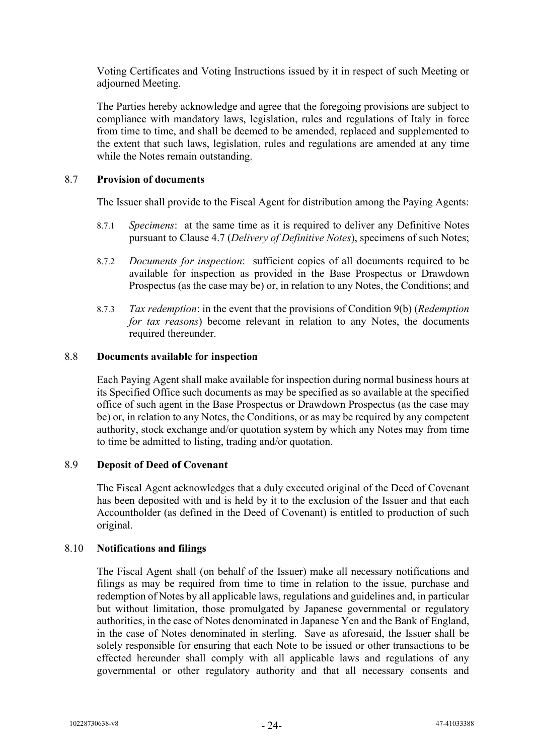Voting Certificates and Voting Instructions issued by it in respect of such Meeting or adjourned Meeting.

The Parties hereby acknowledge and agree that the foregoing provisions are subject to compliance with mandatory laws, legislation, rules and regulations of Italy in force from time to time, and shall be deemed to be amended, replaced and supplemented to the extent that such laws, legislation, rules and regulations are amended at any time while the Notes remain outstanding.

#### 8.7 **Provision of documents**

The Issuer shall provide to the Fiscal Agent for distribution among the Paying Agents:

- 8.7.1 *Specimens*: at the same time as it is required to deliver any Definitive Notes pursuant to Clause [4.7](#page-12-1) (*Delivery of Definitive Notes*), specimens of such Notes;
- 8.7.2 *Documents for inspection*: sufficient copies of all documents required to be available for inspection as provided in the Base Prospectus or Drawdown Prospectus (as the case may be) or, in relation to any Notes, the Conditions; and
- 8.7.3 *Tax redemption*: in the event that the provisions of Condition 9(b) (*Redemption for tax reasons*) become relevant in relation to any Notes, the documents required thereunder.

## <span id="page-25-0"></span>8.8 **Documents available for inspection**

Each Paying Agent shall make available for inspection during normal business hours at its Specified Office such documents as may be specified as so available at the specified office of such agent in the Base Prospectus or Drawdown Prospectus (as the case may be) or, in relation to any Notes, the Conditions, or as may be required by any competent authority, stock exchange and/or quotation system by which any Notes may from time to time be admitted to listing, trading and/or quotation.

#### 8.9 **Deposit of Deed of Covenant**

The Fiscal Agent acknowledges that a duly executed original of the Deed of Covenant has been deposited with and is held by it to the exclusion of the Issuer and that each Accountholder (as defined in the Deed of Covenant) is entitled to production of such original.

#### 8.10 **Notifications and filings**

The Fiscal Agent shall (on behalf of the Issuer) make all necessary notifications and filings as may be required from time to time in relation to the issue, purchase and redemption of Notes by all applicable laws, regulations and guidelines and, in particular but without limitation, those promulgated by Japanese governmental or regulatory authorities, in the case of Notes denominated in Japanese Yen and the Bank of England, in the case of Notes denominated in sterling. Save as aforesaid, the Issuer shall be solely responsible for ensuring that each Note to be issued or other transactions to be effected hereunder shall comply with all applicable laws and regulations of any governmental or other regulatory authority and that all necessary consents and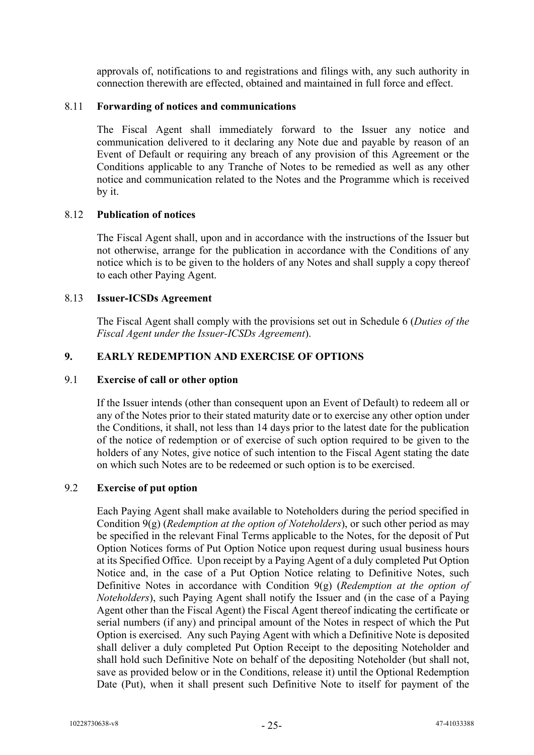approvals of, notifications to and registrations and filings with, any such authority in connection therewith are effected, obtained and maintained in full force and effect.

#### 8.11 **Forwarding of notices and communications**

The Fiscal Agent shall immediately forward to the Issuer any notice and communication delivered to it declaring any Note due and payable by reason of an Event of Default or requiring any breach of any provision of this Agreement or the Conditions applicable to any Tranche of Notes to be remedied as well as any other notice and communication related to the Notes and the Programme which is received by it.

#### 8.12 **Publication of notices**

The Fiscal Agent shall, upon and in accordance with the instructions of the Issuer but not otherwise, arrange for the publication in accordance with the Conditions of any notice which is to be given to the holders of any Notes and shall supply a copy thereof to each other Paying Agent.

## 8.13 **Issuer-ICSDs Agreement**

The Fiscal Agent shall comply with the provisions set out in Schedule 6 (*Duties of the Fiscal Agent under the Issuer-ICSDs Agreement*).

## **9. EARLY REDEMPTION AND EXERCISE OF OPTIONS**

#### 9.1 **Exercise of call or other option**

If the Issuer intends (other than consequent upon an Event of Default) to redeem all or any of the Notes prior to their stated maturity date or to exercise any other option under the Conditions, it shall, not less than 14 days prior to the latest date for the publication of the notice of redemption or of exercise of such option required to be given to the holders of any Notes, give notice of such intention to the Fiscal Agent stating the date on which such Notes are to be redeemed or such option is to be exercised.

## 9.2 **Exercise of put option**

Each Paying Agent shall make available to Noteholders during the period specified in Condition 9(g) (*Redemption at the option of Noteholders*), or such other period as may be specified in the relevant Final Terms applicable to the Notes, for the deposit of Put Option Notices forms of Put Option Notice upon request during usual business hours at its Specified Office. Upon receipt by a Paying Agent of a duly completed Put Option Notice and, in the case of a Put Option Notice relating to Definitive Notes, such Definitive Notes in accordance with Condition 9(g) (*Redemption at the option of Noteholders*), such Paying Agent shall notify the Issuer and (in the case of a Paying Agent other than the Fiscal Agent) the Fiscal Agent thereof indicating the certificate or serial numbers (if any) and principal amount of the Notes in respect of which the Put Option is exercised. Any such Paying Agent with which a Definitive Note is deposited shall deliver a duly completed Put Option Receipt to the depositing Noteholder and shall hold such Definitive Note on behalf of the depositing Noteholder (but shall not, save as provided below or in the Conditions, release it) until the Optional Redemption Date (Put), when it shall present such Definitive Note to itself for payment of the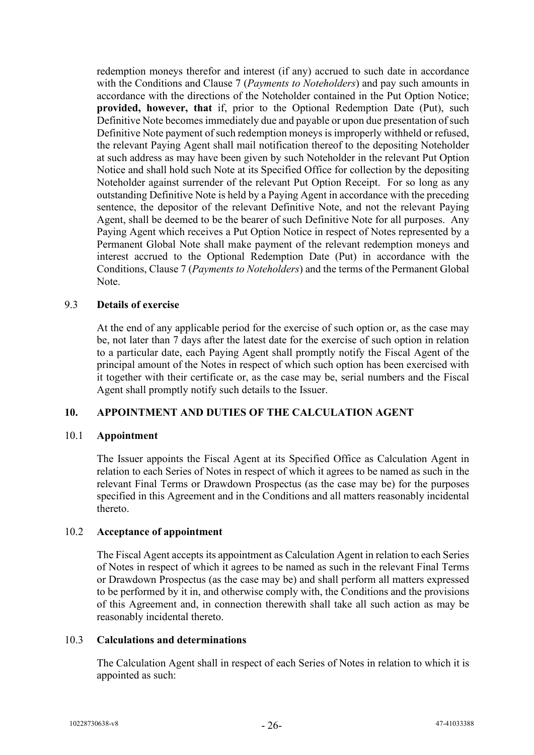redemption moneys therefor and interest (if any) accrued to such date in accordance with the Conditions and Clause [7](#page-17-0) (*Payments to Noteholders*) and pay such amounts in accordance with the directions of the Noteholder contained in the Put Option Notice; **provided, however, that** if, prior to the Optional Redemption Date (Put), such Definitive Note becomes immediately due and payable or upon due presentation of such Definitive Note payment of such redemption moneys is improperly withheld or refused, the relevant Paying Agent shall mail notification thereof to the depositing Noteholder at such address as may have been given by such Noteholder in the relevant Put Option Notice and shall hold such Note at its Specified Office for collection by the depositing Noteholder against surrender of the relevant Put Option Receipt. For so long as any outstanding Definitive Note is held by a Paying Agent in accordance with the preceding sentence, the depositor of the relevant Definitive Note, and not the relevant Paying Agent, shall be deemed to be the bearer of such Definitive Note for all purposes. Any Paying Agent which receives a Put Option Notice in respect of Notes represented by a Permanent Global Note shall make payment of the relevant redemption moneys and interest accrued to the Optional Redemption Date (Put) in accordance with the Conditions, Claus[e 7](#page-17-0) (*Payments to Noteholders*) and the terms of the Permanent Global Note.

#### 9.3 **Details of exercise**

At the end of any applicable period for the exercise of such option or, as the case may be, not later than 7 days after the latest date for the exercise of such option in relation to a particular date, each Paying Agent shall promptly notify the Fiscal Agent of the principal amount of the Notes in respect of which such option has been exercised with it together with their certificate or, as the case may be, serial numbers and the Fiscal Agent shall promptly notify such details to the Issuer.

#### <span id="page-27-0"></span>**10. APPOINTMENT AND DUTIES OF THE CALCULATION AGENT**

#### 10.1 **Appointment**

The Issuer appoints the Fiscal Agent at its Specified Office as Calculation Agent in relation to each Series of Notes in respect of which it agrees to be named as such in the relevant Final Terms or Drawdown Prospectus (as the case may be) for the purposes specified in this Agreement and in the Conditions and all matters reasonably incidental thereto.

#### 10.2 **Acceptance of appointment**

The Fiscal Agent accepts its appointment as Calculation Agent in relation to each Series of Notes in respect of which it agrees to be named as such in the relevant Final Terms or Drawdown Prospectus (as the case may be) and shall perform all matters expressed to be performed by it in, and otherwise comply with, the Conditions and the provisions of this Agreement and, in connection therewith shall take all such action as may be reasonably incidental thereto.

#### 10.3 **Calculations and determinations**

The Calculation Agent shall in respect of each Series of Notes in relation to which it is appointed as such: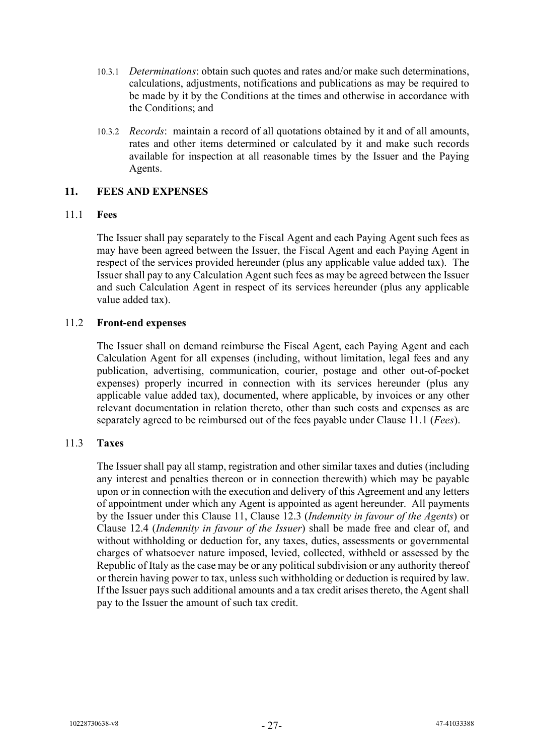- 10.3.1 *Determinations*: obtain such quotes and rates and/or make such determinations, calculations, adjustments, notifications and publications as may be required to be made by it by the Conditions at the times and otherwise in accordance with the Conditions; and
- 10.3.2 *Records*: maintain a record of all quotations obtained by it and of all amounts, rates and other items determined or calculated by it and make such records available for inspection at all reasonable times by the Issuer and the Paying Agents.

#### <span id="page-28-1"></span>**11. FEES AND EXPENSES**

#### <span id="page-28-0"></span>11.1 **Fees**

The Issuer shall pay separately to the Fiscal Agent and each Paying Agent such fees as may have been agreed between the Issuer, the Fiscal Agent and each Paying Agent in respect of the services provided hereunder (plus any applicable value added tax). The Issuer shall pay to any Calculation Agent such fees as may be agreed between the Issuer and such Calculation Agent in respect of its services hereunder (plus any applicable value added tax).

## 11.2 **Front-end expenses**

The Issuer shall on demand reimburse the Fiscal Agent, each Paying Agent and each Calculation Agent for all expenses (including, without limitation, legal fees and any publication, advertising, communication, courier, postage and other out-of-pocket expenses) properly incurred in connection with its services hereunder (plus any applicable value added tax), documented, where applicable, by invoices or any other relevant documentation in relation thereto, other than such costs and expenses as are separately agreed to be reimbursed out of the fees payable under Clause [11.1](#page-28-0) (*Fees*).

#### <span id="page-28-2"></span>11.3 **Taxes**

The Issuer shall pay all stamp, registration and other similar taxes and duties (including any interest and penalties thereon or in connection therewith) which may be payable upon or in connection with the execution and delivery of this Agreement and any letters of appointment under which any Agent is appointed as agent hereunder. All payments by the Issuer under this Clause [11,](#page-28-1) Clause [12.3](#page-30-0) (*Indemnity in favour of the Agents*) or Clause [12.4](#page-30-1) (*Indemnity in favour of the Issuer*) shall be made free and clear of, and without withholding or deduction for, any taxes, duties, assessments or governmental charges of whatsoever nature imposed, levied, collected, withheld or assessed by the Republic of Italy as the case may be or any political subdivision or any authority thereof or therein having power to tax, unless such withholding or deduction is required by law. If the Issuer pays such additional amounts and a tax credit arises thereto, the Agent shall pay to the Issuer the amount of such tax credit.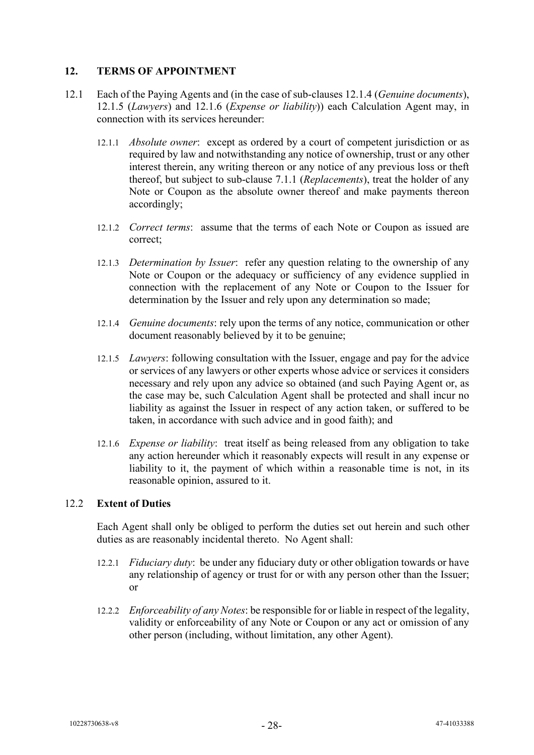## <span id="page-29-3"></span>**12. TERMS OF APPOINTMENT**

- 12.1 Each of the Paying Agents and (in the case of sub-clauses [12.1.4](#page-29-0) (*Genuine documents*), [12.1.5](#page-29-1) (*Lawyers*) and [12.1.6](#page-29-2) (*Expense or liability*)) each Calculation Agent may, in connection with its services hereunder:
	- 12.1.1 *Absolute owner*: except as ordered by a court of competent jurisdiction or as required by law and notwithstanding any notice of ownership, trust or any other interest therein, any writing thereon or any notice of any previous loss or theft thereof, but subject to sub-clause [7.1.1](#page-17-3) (*Replacements*), treat the holder of any Note or Coupon as the absolute owner thereof and make payments thereon accordingly;
	- 12.1.2 *Correct terms*:assume that the terms of each Note or Coupon as issued are correct;
	- 12.1.3 *Determination by Issuer*: refer any question relating to the ownership of any Note or Coupon or the adequacy or sufficiency of any evidence supplied in connection with the replacement of any Note or Coupon to the Issuer for determination by the Issuer and rely upon any determination so made;
	- 12.1.4 *Genuine documents*: rely upon the terms of any notice, communication or other document reasonably believed by it to be genuine;
	- 12.1.5 *Lawyers*: following consultation with the Issuer, engage and pay for the advice or services of any lawyers or other experts whose advice or services it considers necessary and rely upon any advice so obtained (and such Paying Agent or, as the case may be, such Calculation Agent shall be protected and shall incur no liability as against the Issuer in respect of any action taken, or suffered to be taken, in accordance with such advice and in good faith); and
	- 12.1.6 *Expense or liability*: treat itself as being released from any obligation to take any action hereunder which it reasonably expects will result in any expense or liability to it, the payment of which within a reasonable time is not, in its reasonable opinion, assured to it.

#### <span id="page-29-2"></span><span id="page-29-1"></span><span id="page-29-0"></span>12.2 **Extent of Duties**

Each Agent shall only be obliged to perform the duties set out herein and such other duties as are reasonably incidental thereto. No Agent shall:

- 12.2.1 *Fiduciary duty*: be under any fiduciary duty or other obligation towards or have any relationship of agency or trust for or with any person other than the Issuer; or
- 12.2.2 *Enforceability of any Notes*: be responsible for or liable in respect of the legality, validity or enforceability of any Note or Coupon or any act or omission of any other person (including, without limitation, any other Agent).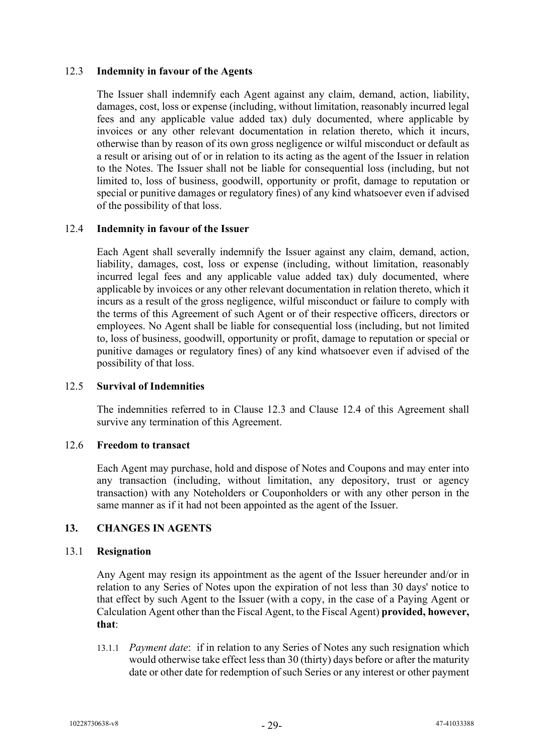## <span id="page-30-0"></span>12.3 **Indemnity in favour of the Agents**

The Issuer shall indemnify each Agent against any claim, demand, action, liability, damages, cost, loss or expense (including, without limitation, reasonably incurred legal fees and any applicable value added tax) duly documented, where applicable by invoices or any other relevant documentation in relation thereto, which it incurs, otherwise than by reason of its own gross negligence or wilful misconduct or default as a result or arising out of or in relation to its acting as the agent of the Issuer in relation to the Notes. The Issuer shall not be liable for consequential loss (including, but not limited to, loss of business, goodwill, opportunity or profit, damage to reputation or special or punitive damages or regulatory fines) of any kind whatsoever even if advised of the possibility of that loss.

## <span id="page-30-1"></span>12.4 **Indemnity in favour of the Issuer**

Each Agent shall severally indemnify the Issuer against any claim, demand, action, liability, damages, cost, loss or expense (including, without limitation, reasonably incurred legal fees and any applicable value added tax) duly documented, where applicable by invoices or any other relevant documentation in relation thereto, which it incurs as a result of the gross negligence, wilful misconduct or failure to comply with the terms of this Agreement of such Agent or of their respective officers, directors or employees. No Agent shall be liable for consequential loss (including, but not limited to, loss of business, goodwill, opportunity or profit, damage to reputation or special or punitive damages or regulatory fines) of any kind whatsoever even if advised of the possibility of that loss.

## 12.5 **Survival of Indemnities**

The indemnities referred to in Clause 12.3 and Clause 12.4 of this Agreement shall survive any termination of this Agreement.

#### 12.6 **Freedom to transact**

Each Agent may purchase, hold and dispose of Notes and Coupons and may enter into any transaction (including, without limitation, any depository, trust or agency transaction) with any Noteholders or Couponholders or with any other person in the same manner as if it had not been appointed as the agent of the Issuer.

## <span id="page-30-3"></span>**13. CHANGES IN AGENTS**

#### <span id="page-30-2"></span>13.1 **Resignation**

Any Agent may resign its appointment as the agent of the Issuer hereunder and/or in relation to any Series of Notes upon the expiration of not less than 30 days' notice to that effect by such Agent to the Issuer (with a copy, in the case of a Paying Agent or Calculation Agent other than the Fiscal Agent, to the Fiscal Agent) **provided, however, that**:

13.1.1 *Payment date*: if in relation to any Series of Notes any such resignation which would otherwise take effect less than 30 (thirty) days before or after the maturity date or other date for redemption of such Series or any interest or other payment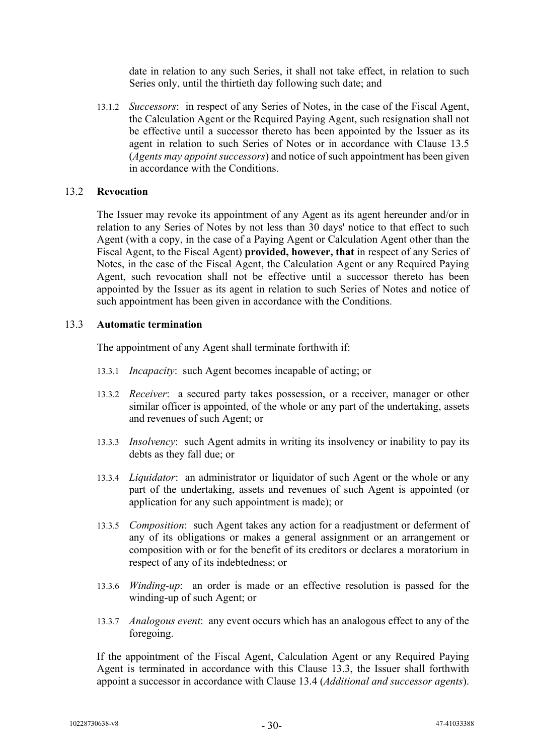date in relation to any such Series, it shall not take effect, in relation to such Series only, until the thirtieth day following such date; and

13.1.2 *Successors*: in respect of any Series of Notes, in the case of the Fiscal Agent, the Calculation Agent or the Required Paying Agent, such resignation shall not be effective until a successor thereto has been appointed by the Issuer as its agent in relation to such Series of Notes or in accordance with Clause [13.5](#page-32-0) (*Agents may appoint successors*) and notice of such appointment has been given in accordance with the Conditions.

#### <span id="page-31-1"></span>13.2 **Revocation**

The Issuer may revoke its appointment of any Agent as its agent hereunder and/or in relation to any Series of Notes by not less than 30 days' notice to that effect to such Agent (with a copy, in the case of a Paying Agent or Calculation Agent other than the Fiscal Agent, to the Fiscal Agent) **provided, however, that** in respect of any Series of Notes, in the case of the Fiscal Agent, the Calculation Agent or any Required Paying Agent, such revocation shall not be effective until a successor thereto has been appointed by the Issuer as its agent in relation to such Series of Notes and notice of such appointment has been given in accordance with the Conditions.

#### <span id="page-31-0"></span>13.3 **Automatic termination**

The appointment of any Agent shall terminate forthwith if:

- 13.3.1 *Incapacity*:such Agent becomes incapable of acting; or
- 13.3.2 *Receiver*: a secured party takes possession, or a receiver, manager or other similar officer is appointed, of the whole or any part of the undertaking, assets and revenues of such Agent; or
- 13.3.3 *Insolvency*: such Agent admits in writing its insolvency or inability to pay its debts as they fall due; or
- 13.3.4 *Liquidator*: an administrator or liquidator of such Agent or the whole or any part of the undertaking, assets and revenues of such Agent is appointed (or application for any such appointment is made); or
- 13.3.5 *Composition*: such Agent takes any action for a readjustment or deferment of any of its obligations or makes a general assignment or an arrangement or composition with or for the benefit of its creditors or declares a moratorium in respect of any of its indebtedness; or
- 13.3.6 *Winding-up*: an order is made or an effective resolution is passed for the winding-up of such Agent; or
- 13.3.7 *Analogous event*: any event occurs which has an analogous effect to any of the foregoing.

If the appointment of the Fiscal Agent, Calculation Agent or any Required Paying Agent is terminated in accordance with this Clause [13.3,](#page-31-0) the Issuer shall forthwith appoint a successor in accordance with Clause [13.4](#page-32-1) (*Additional and successor agents*).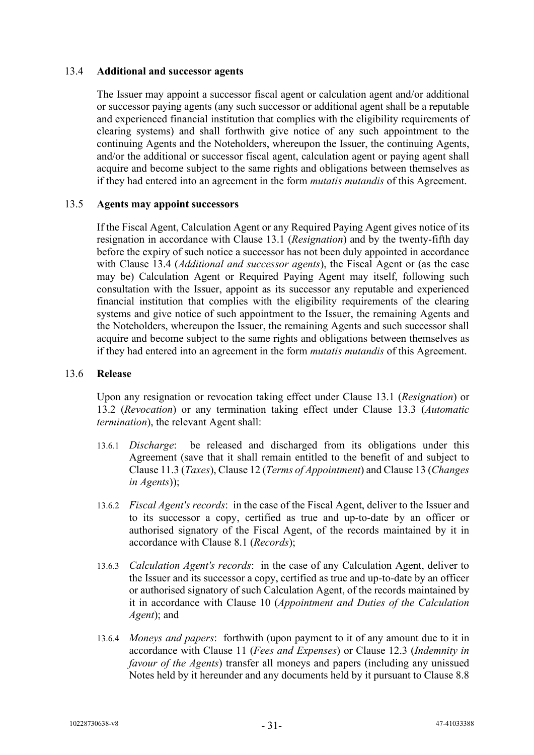#### <span id="page-32-1"></span>13.4 **Additional and successor agents**

The Issuer may appoint a successor fiscal agent or calculation agent and/or additional or successor paying agents (any such successor or additional agent shall be a reputable and experienced financial institution that complies with the eligibility requirements of clearing systems) and shall forthwith give notice of any such appointment to the continuing Agents and the Noteholders, whereupon the Issuer, the continuing Agents, and/or the additional or successor fiscal agent, calculation agent or paying agent shall acquire and become subject to the same rights and obligations between themselves as if they had entered into an agreement in the form *mutatis mutandis* of this Agreement.

#### <span id="page-32-0"></span>13.5 **Agents may appoint successors**

If the Fiscal Agent, Calculation Agent or any Required Paying Agent gives notice of its resignation in accordance with Clause [13.1](#page-30-2) (*Resignation*) and by the twenty-fifth day before the expiry of such notice a successor has not been duly appointed in accordance with Clause [13.4](#page-32-1) (*Additional and successor agents*), the Fiscal Agent or (as the case may be) Calculation Agent or Required Paying Agent may itself, following such consultation with the Issuer, appoint as its successor any reputable and experienced financial institution that complies with the eligibility requirements of the clearing systems and give notice of such appointment to the Issuer, the remaining Agents and the Noteholders, whereupon the Issuer, the remaining Agents and such successor shall acquire and become subject to the same rights and obligations between themselves as if they had entered into an agreement in the form *mutatis mutandis* of this Agreement.

#### 13.6 **Release**

Upon any resignation or revocation taking effect under Clause [13.1](#page-30-2) (*Resignation*) or [13.2](#page-31-1) (*Revocation*) or any termination taking effect under Clause [13.3](#page-31-0) (*Automatic termination*), the relevant Agent shall:

- 13.6.1 *Discharge*:be released and discharged from its obligations under this Agreement (save that it shall remain entitled to the benefit of and subject to Clause [11.3](#page-28-2) (*Taxes*), Claus[e 12](#page-29-3) (*Terms of Appointment*) and Clause [13](#page-30-3) (*Changes in Agents*));
- 13.6.2 *Fiscal Agent's records*:in the case of the Fiscal Agent, deliver to the Issuer and to its successor a copy, certified as true and up-to-date by an officer or authorised signatory of the Fiscal Agent, of the records maintained by it in accordance with Clause [8.1](#page-22-0) (*Records*);
- 13.6.3 *Calculation Agent's records*:in the case of any Calculation Agent, deliver to the Issuer and its successor a copy, certified as true and up-to-date by an officer or authorised signatory of such Calculation Agent, of the records maintained by it in accordance with Clause [10](#page-27-0) (*Appointment and Duties of the Calculation Agent*); and
- 13.6.4 *Moneys and papers*: forthwith (upon payment to it of any amount due to it in accordance with Clause [11](#page-28-1) (*Fees and Expenses*) or Clause [12.3](#page-30-0) (*Indemnity in favour of the Agents*) transfer all moneys and papers (including any unissued Notes held by it hereunder and any documents held by it pursuant to Clause [8.8](#page-25-0)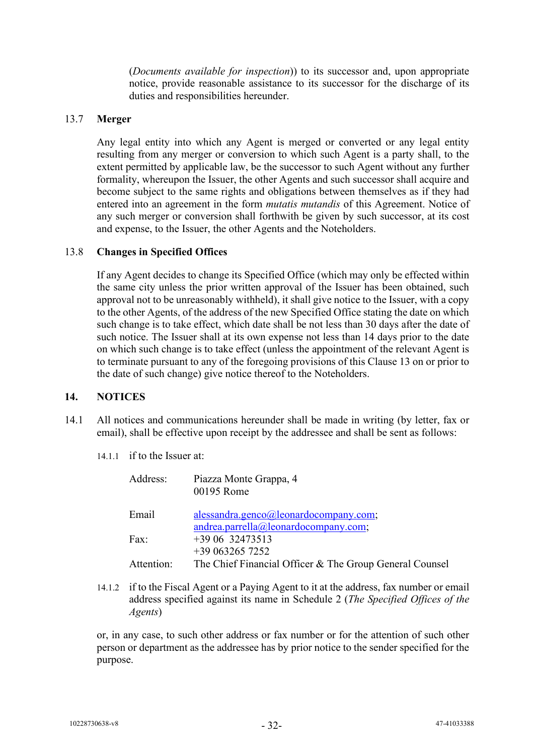(*Documents available for inspection*)) to its successor and, upon appropriate notice, provide reasonable assistance to its successor for the discharge of its duties and responsibilities hereunder.

#### 13.7 **Merger**

Any legal entity into which any Agent is merged or converted or any legal entity resulting from any merger or conversion to which such Agent is a party shall, to the extent permitted by applicable law, be the successor to such Agent without any further formality, whereupon the Issuer, the other Agents and such successor shall acquire and become subject to the same rights and obligations between themselves as if they had entered into an agreement in the form *mutatis mutandis* of this Agreement. Notice of any such merger or conversion shall forthwith be given by such successor, at its cost and expense, to the Issuer, the other Agents and the Noteholders.

#### <span id="page-33-0"></span>13.8 **Changes in Specified Offices**

If any Agent decides to change its Specified Office (which may only be effected within the same city unless the prior written approval of the Issuer has been obtained, such approval not to be unreasonably withheld), it shall give notice to the Issuer, with a copy to the other Agents, of the address of the new Specified Office stating the date on which such change is to take effect, which date shall be not less than 30 days after the date of such notice. The Issuer shall at its own expense not less than 14 days prior to the date on which such change is to take effect (unless the appointment of the relevant Agent is to terminate pursuant to any of the foregoing provisions of this Clause 13 on or prior to the date of such change) give notice thereof to the Noteholders.

#### **14. NOTICES**

- 14.1 All notices and communications hereunder shall be made in writing (by letter, fax or email), shall be effective upon receipt by the addressee and shall be sent as follows:
	- 14.1.1 if to the Issuer at:

| Address:   | Piazza Monte Grappa, 4<br>00195 Rome                    |
|------------|---------------------------------------------------------|
| Email      | alessandra.genco@leonardocompany.com;                   |
|            | andrea.parrella@leonardocompany.com;                    |
| Fax:       | +39 06 32473513                                         |
|            | $+390632657252$                                         |
| Attention: | The Chief Financial Officer & The Group General Counsel |

14.1.2 if to the Fiscal Agent or a Paying Agent to it at the address, fax number or email address specified against its name in Schedule 2 (*The Specified Offices of the Agents*)

or, in any case, to such other address or fax number or for the attention of such other person or department as the addressee has by prior notice to the sender specified for the purpose.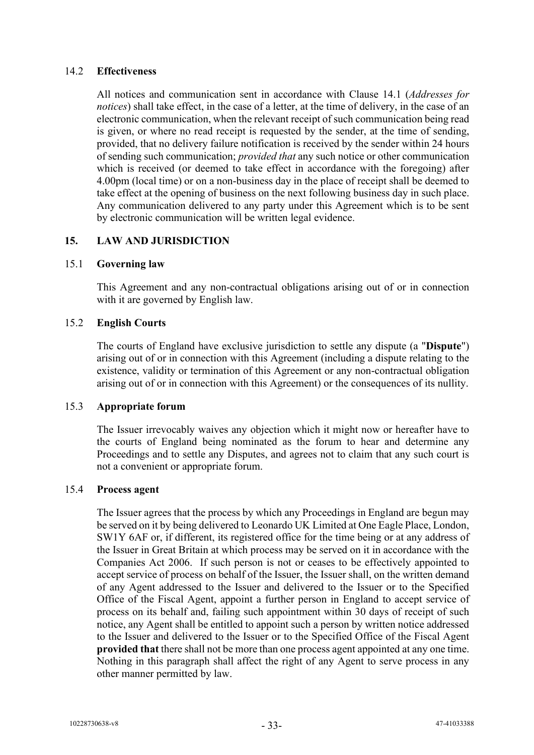## 14.2 **Effectiveness**

All notices and communication sent in accordance with Clause 14.1 (*Addresses for notices*) shall take effect, in the case of a letter, at the time of delivery, in the case of an electronic communication, when the relevant receipt of such communication being read is given, or where no read receipt is requested by the sender, at the time of sending, provided, that no delivery failure notification is received by the sender within 24 hours of sending such communication; *provided that* any such notice or other communication which is received (or deemed to take effect in accordance with the foregoing) after 4.00pm (local time) or on a non-business day in the place of receipt shall be deemed to take effect at the opening of business on the next following business day in such place. Any communication delivered to any party under this Agreement which is to be sent by electronic communication will be written legal evidence.

## <span id="page-34-0"></span>**15. LAW AND JURISDICTION**

#### 15.1 **Governing law**

This Agreement and any non-contractual obligations arising out of or in connection with it are governed by English law.

#### 15.2 **English Courts**

The courts of England have exclusive jurisdiction to settle any dispute (a "**Dispute**") arising out of or in connection with this Agreement (including a dispute relating to the existence, validity or termination of this Agreement or any non-contractual obligation arising out of or in connection with this Agreement) or the consequences of its nullity.

#### 15.3 **Appropriate forum**

The Issuer irrevocably waives any objection which it might now or hereafter have to the courts of England being nominated as the forum to hear and determine any Proceedings and to settle any Disputes, and agrees not to claim that any such court is not a convenient or appropriate forum.

#### 15.4 **Process agent**

The Issuer agrees that the process by which any Proceedings in England are begun may be served on it by being delivered to Leonardo UK Limited at One Eagle Place, London, SW1Y 6AF or, if different, its registered office for the time being or at any address of the Issuer in Great Britain at which process may be served on it in accordance with the Companies Act 2006. If such person is not or ceases to be effectively appointed to accept service of process on behalf of the Issuer, the Issuer shall, on the written demand of any Agent addressed to the Issuer and delivered to the Issuer or to the Specified Office of the Fiscal Agent, appoint a further person in England to accept service of process on its behalf and, failing such appointment within 30 days of receipt of such notice, any Agent shall be entitled to appoint such a person by written notice addressed to the Issuer and delivered to the Issuer or to the Specified Office of the Fiscal Agent **provided that** there shall not be more than one process agent appointed at any one time. Nothing in this paragraph shall affect the right of any Agent to serve process in any other manner permitted by law.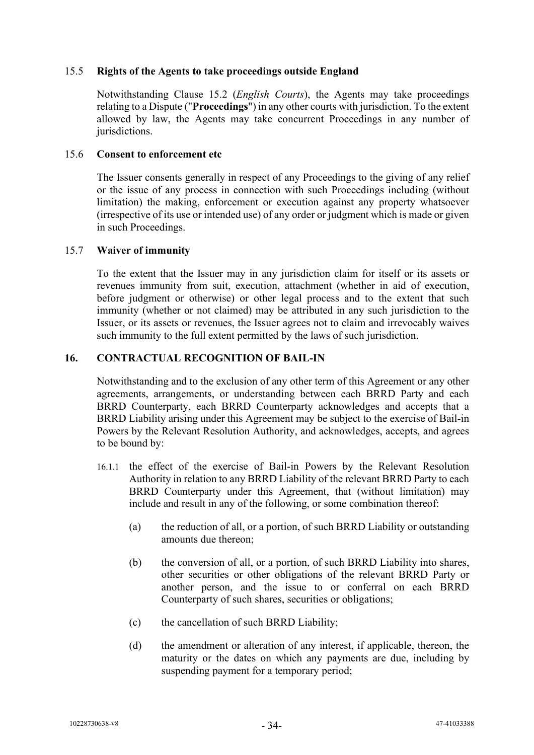## 15.5 **Rights of the Agents to take proceedings outside England**

Notwithstanding Clause 15.2 (*English Courts*), the Agents may take proceedings relating to a Dispute ("**Proceedings**") in any other courts with jurisdiction. To the extent allowed by law, the Agents may take concurrent Proceedings in any number of jurisdictions.

#### 15.6 **Consent to enforcement etc**

The Issuer consents generally in respect of any Proceedings to the giving of any relief or the issue of any process in connection with such Proceedings including (without limitation) the making, enforcement or execution against any property whatsoever (irrespective of its use or intended use) of any order or judgment which is made or given in such Proceedings.

#### 15.7 **Waiver of immunity**

To the extent that the Issuer may in any jurisdiction claim for itself or its assets or revenues immunity from suit, execution, attachment (whether in aid of execution, before judgment or otherwise) or other legal process and to the extent that such immunity (whether or not claimed) may be attributed in any such jurisdiction to the Issuer, or its assets or revenues, the Issuer agrees not to claim and irrevocably waives such immunity to the full extent permitted by the laws of such jurisdiction.

## **16. CONTRACTUAL RECOGNITION OF BAIL-IN**

Notwithstanding and to the exclusion of any other term of this Agreement or any other agreements, arrangements, or understanding between each BRRD Party and each BRRD Counterparty, each BRRD Counterparty acknowledges and accepts that a BRRD Liability arising under this Agreement may be subject to the exercise of Bail-in Powers by the Relevant Resolution Authority, and acknowledges, accepts, and agrees to be bound by:

- 16.1.1 the effect of the exercise of Bail-in Powers by the Relevant Resolution Authority in relation to any BRRD Liability of the relevant BRRD Party to each BRRD Counterparty under this Agreement, that (without limitation) may include and result in any of the following, or some combination thereof:
	- (a) the reduction of all, or a portion, of such BRRD Liability or outstanding amounts due thereon;
	- (b) the conversion of all, or a portion, of such BRRD Liability into shares, other securities or other obligations of the relevant BRRD Party or another person, and the issue to or conferral on each BRRD Counterparty of such shares, securities or obligations;
	- (c) the cancellation of such BRRD Liability;
	- (d) the amendment or alteration of any interest, if applicable, thereon, the maturity or the dates on which any payments are due, including by suspending payment for a temporary period;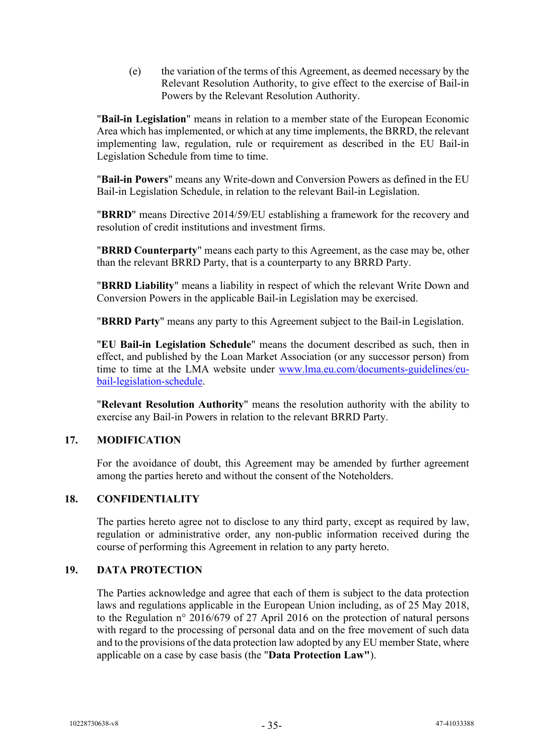(e) the variation of the terms of this Agreement, as deemed necessary by the Relevant Resolution Authority, to give effect to the exercise of Bail-in Powers by the Relevant Resolution Authority.

"**Bail-in Legislation**" means in relation to a member state of the European Economic Area which has implemented, or which at any time implements, the BRRD, the relevant implementing law, regulation, rule or requirement as described in the EU Bail-in Legislation Schedule from time to time.

"**Bail-in Powers**" means any Write-down and Conversion Powers as defined in the EU Bail-in Legislation Schedule, in relation to the relevant Bail-in Legislation.

"**BRRD**" means Directive 2014/59/EU establishing a framework for the recovery and resolution of credit institutions and investment firms.

"**BRRD Counterparty**" means each party to this Agreement, as the case may be, other than the relevant BRRD Party, that is a counterparty to any BRRD Party.

"**BRRD Liability**" means a liability in respect of which the relevant Write Down and Conversion Powers in the applicable Bail-in Legislation may be exercised.

"**BRRD Party**" means any party to this Agreement subject to the Bail-in Legislation.

"**EU Bail-in Legislation Schedule**" means the document described as such, then in effect, and published by the Loan Market Association (or any successor person) from time to time at the LMA website under [www.lma.eu.com/documents-guidelines/eu](http://www.lma.eu.com/documents-guidelines/eu-bail-legislation-schedule)[bail-legislation-schedule.](http://www.lma.eu.com/documents-guidelines/eu-bail-legislation-schedule)

"**Relevant Resolution Authority**" means the resolution authority with the ability to exercise any Bail-in Powers in relation to the relevant BRRD Party.

#### **17. MODIFICATION**

For the avoidance of doubt, this Agreement may be amended by further agreement among the parties hereto and without the consent of the Noteholders.

#### **18. CONFIDENTIALITY**

The parties hereto agree not to disclose to any third party, except as required by law, regulation or administrative order, any non-public information received during the course of performing this Agreement in relation to any party hereto.

#### **19. DATA PROTECTION**

The Parties acknowledge and agree that each of them is subject to the data protection laws and regulations applicable in the European Union including, as of 25 May 2018, to the Regulation n° 2016/679 of 27 April 2016 on the protection of natural persons with regard to the processing of personal data and on the free movement of such data and to the provisions of the data protection law adopted by any EU member State, where applicable on a case by case basis (the "**Data Protection Law"**).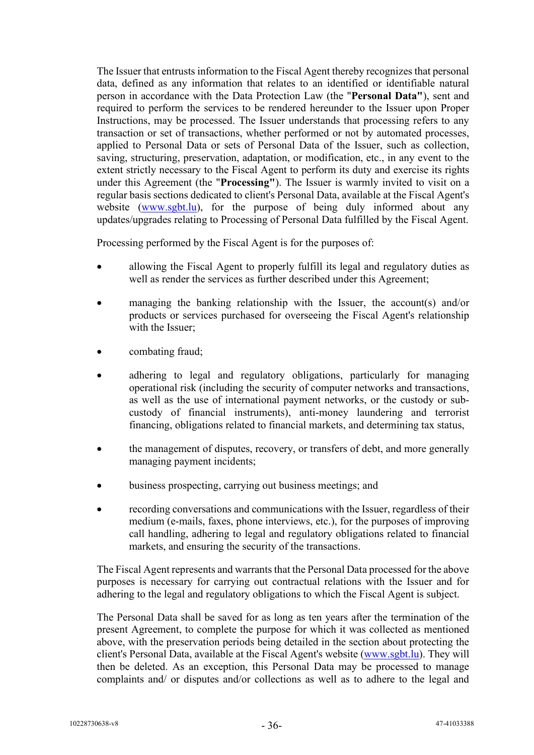The Issuer that entrusts information to the Fiscal Agent thereby recognizes that personal data, defined as any information that relates to an identified or identifiable natural person in accordance with the Data Protection Law (the "**Personal Data"**), sent and required to perform the services to be rendered hereunder to the Issuer upon Proper Instructions, may be processed. The Issuer understands that processing refers to any transaction or set of transactions, whether performed or not by automated processes, applied to Personal Data or sets of Personal Data of the Issuer, such as collection, saving, structuring, preservation, adaptation, or modification, etc., in any event to the extent strictly necessary to the Fiscal Agent to perform its duty and exercise its rights under this Agreement (the "**Processing"**). The Issuer is warmly invited to visit on a regular basis sections dedicated to client's Personal Data, available at the Fiscal Agent's website [\(www.sgbt.lu\)](http://www.sgbt.lu/), for the purpose of being duly informed about any updates/upgrades relating to Processing of Personal Data fulfilled by the Fiscal Agent.

Processing performed by the Fiscal Agent is for the purposes of:

- allowing the Fiscal Agent to properly fulfill its legal and regulatory duties as well as render the services as further described under this Agreement;
- managing the banking relationship with the Issuer, the account  $(s)$  and/or products or services purchased for overseeing the Fiscal Agent's relationship with the Issuer;
- combating fraud;
- adhering to legal and regulatory obligations, particularly for managing operational risk (including the security of computer networks and transactions, as well as the use of international payment networks, or the custody or subcustody of financial instruments), anti-money laundering and terrorist financing, obligations related to financial markets, and determining tax status,
- the management of disputes, recovery, or transfers of debt, and more generally managing payment incidents;
- business prospecting, carrying out business meetings; and
- recording conversations and communications with the Issuer, regardless of their medium (e-mails, faxes, phone interviews, etc.), for the purposes of improving call handling, adhering to legal and regulatory obligations related to financial markets, and ensuring the security of the transactions.

The Fiscal Agent represents and warrants that the Personal Data processed for the above purposes is necessary for carrying out contractual relations with the Issuer and for adhering to the legal and regulatory obligations to which the Fiscal Agent is subject.

The Personal Data shall be saved for as long as ten years after the termination of the present Agreement, to complete the purpose for which it was collected as mentioned above, with the preservation periods being detailed in the section about protecting the client's Personal Data, available at the Fiscal Agent's website [\(www.sgbt.lu\)](http://www.sgbt.lu/). They will then be deleted. As an exception, this Personal Data may be processed to manage complaints and/ or disputes and/or collections as well as to adhere to the legal and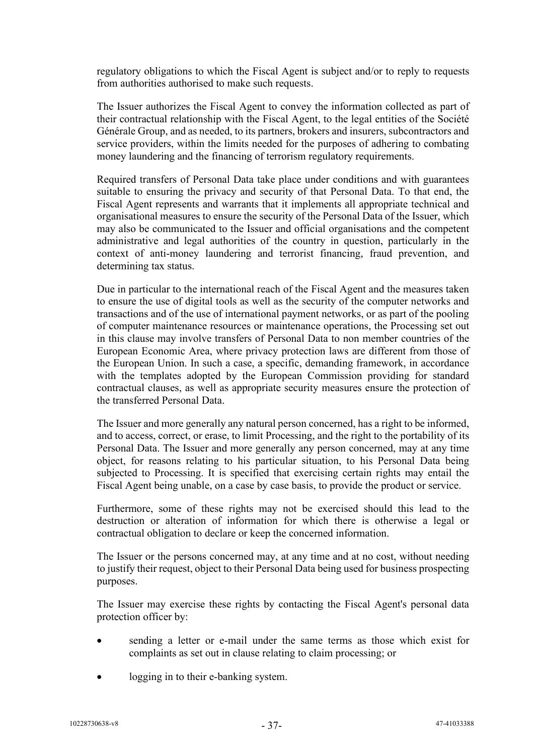regulatory obligations to which the Fiscal Agent is subject and/or to reply to requests from authorities authorised to make such requests.

The Issuer authorizes the Fiscal Agent to convey the information collected as part of their contractual relationship with the Fiscal Agent, to the legal entities of the Société Générale Group, and as needed, to its partners, brokers and insurers, subcontractors and service providers, within the limits needed for the purposes of adhering to combating money laundering and the financing of terrorism regulatory requirements.

Required transfers of Personal Data take place under conditions and with guarantees suitable to ensuring the privacy and security of that Personal Data. To that end, the Fiscal Agent represents and warrants that it implements all appropriate technical and organisational measures to ensure the security of the Personal Data of the Issuer, which may also be communicated to the Issuer and official organisations and the competent administrative and legal authorities of the country in question, particularly in the context of anti-money laundering and terrorist financing, fraud prevention, and determining tax status.

Due in particular to the international reach of the Fiscal Agent and the measures taken to ensure the use of digital tools as well as the security of the computer networks and transactions and of the use of international payment networks, or as part of the pooling of computer maintenance resources or maintenance operations, the Processing set out in this clause may involve transfers of Personal Data to non member countries of the European Economic Area, where privacy protection laws are different from those of the European Union. In such a case, a specific, demanding framework, in accordance with the templates adopted by the European Commission providing for standard contractual clauses, as well as appropriate security measures ensure the protection of the transferred Personal Data.

The Issuer and more generally any natural person concerned, has a right to be informed, and to access, correct, or erase, to limit Processing, and the right to the portability of its Personal Data. The Issuer and more generally any person concerned, may at any time object, for reasons relating to his particular situation, to his Personal Data being subjected to Processing. It is specified that exercising certain rights may entail the Fiscal Agent being unable, on a case by case basis, to provide the product or service.

Furthermore, some of these rights may not be exercised should this lead to the destruction or alteration of information for which there is otherwise a legal or contractual obligation to declare or keep the concerned information.

The Issuer or the persons concerned may, at any time and at no cost, without needing to justify their request, object to their Personal Data being used for business prospecting purposes.

The Issuer may exercise these rights by contacting the Fiscal Agent's personal data protection officer by:

- sending a letter or e-mail under the same terms as those which exist for complaints as set out in clause relating to claim processing; or
- logging in to their e-banking system.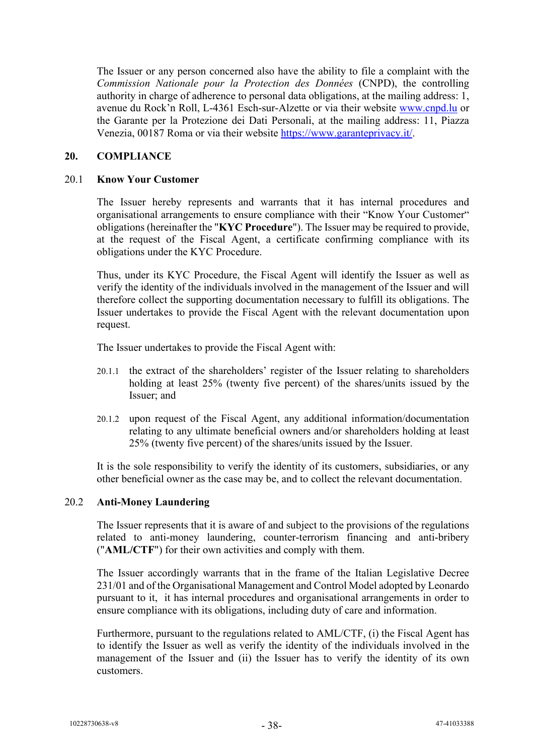The Issuer or any person concerned also have the ability to file a complaint with the *Commission Nationale pour la Protection des Données* (CNPD), the controlling authority in charge of adherence to personal data obligations, at the mailing address: 1, avenue du Rock'n Roll, L-4361 Esch-sur-Alzette or via their website [www.cnpd.lu](http://www.cnpd.lu/) or the Garante per la Protezione dei Dati Personali, at the mailing address: 11, Piazza Venezia, 00187 Roma or via their website [https://www.garanteprivacy.it/.](https://www.garanteprivacy.it/)

#### **20. COMPLIANCE**

#### 20.1 **Know Your Customer**

The Issuer hereby represents and warrants that it has internal procedures and organisational arrangements to ensure compliance with their "Know Your Customer" obligations (hereinafter the "**KYC Procedure**"). The Issuer may be required to provide, at the request of the Fiscal Agent, a certificate confirming compliance with its obligations under the KYC Procedure.

Thus, under its KYC Procedure, the Fiscal Agent will identify the Issuer as well as verify the identity of the individuals involved in the management of the Issuer and will therefore collect the supporting documentation necessary to fulfill its obligations. The Issuer undertakes to provide the Fiscal Agent with the relevant documentation upon request.

The Issuer undertakes to provide the Fiscal Agent with:

- 20.1.1 the extract of the shareholders' register of the Issuer relating to shareholders holding at least 25% (twenty five percent) of the shares/units issued by the Issuer; and
- 20.1.2 upon request of the Fiscal Agent, any additional information/documentation relating to any ultimate beneficial owners and/or shareholders holding at least 25% (twenty five percent) of the shares/units issued by the Issuer.

It is the sole responsibility to verify the identity of its customers, subsidiaries, or any other beneficial owner as the case may be, and to collect the relevant documentation.

#### 20.2 **Anti-Money Laundering**

The Issuer represents that it is aware of and subject to the provisions of the regulations related to anti-money laundering, counter-terrorism financing and anti-bribery ("**AML/CTF**") for their own activities and comply with them.

The Issuer accordingly warrants that in the frame of the Italian Legislative Decree 231/01 and of the Organisational Management and Control Model adopted by Leonardo pursuant to it, it has internal procedures and organisational arrangements in order to ensure compliance with its obligations, including duty of care and information.

Furthermore, pursuant to the regulations related to AML/CTF, (i) the Fiscal Agent has to identify the Issuer as well as verify the identity of the individuals involved in the management of the Issuer and (ii) the Issuer has to verify the identity of its own customers.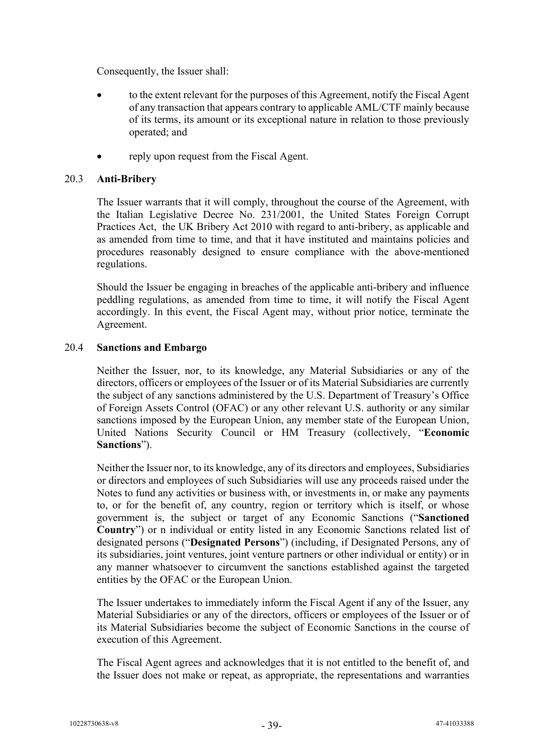Consequently, the Issuer shall:

- to the extent relevant for the purposes of this Agreement, notify the Fiscal Agent of any transaction that appears contrary to applicable AML/CTF mainly because of its terms, its amount or its exceptional nature in relation to those previously operated; and
- reply upon request from the Fiscal Agent.

#### 20.3 **Anti-Bribery**

The Issuer warrants that it will comply, throughout the course of the Agreement, with the Italian Legislative Decree No. 231/2001, the United States Foreign Corrupt Practices Act, the UK Bribery Act 2010 with regard to anti-bribery, as applicable and as amended from time to time, and that it have instituted and maintains policies and procedures reasonably designed to ensure compliance with the above-mentioned regulations.

Should the Issuer be engaging in breaches of the applicable anti-bribery and influence peddling regulations, as amended from time to time, it will notify the Fiscal Agent accordingly. In this event, the Fiscal Agent may, without prior notice, terminate the Agreement.

## 20.4 **Sanctions and Embargo**

Neither the Issuer, nor, to its knowledge, any Material Subsidiaries or any of the directors, officers or employees of the Issuer or of its Material Subsidiaries are currently the subject of any sanctions administered by the U.S. Department of Treasury's Office of Foreign Assets Control (OFAC) or any other relevant U.S. authority or any similar sanctions imposed by the European Union, any member state of the European Union, United Nations Security Council or HM Treasury (collectively, "**Economic Sanctions**").

Neither the Issuer nor, to its knowledge, any of its directors and employees, Subsidiaries or directors and employees of such Subsidiaries will use any proceeds raised under the Notes to fund any activities or business with, or investments in, or make any payments to, or for the benefit of, any country, region or territory which is itself, or whose government is, the subject or target of any Economic Sanctions ("**Sanctioned Country**") or n individual or entity listed in any Economic Sanctions related list of designated persons ("**Designated Persons**") (including, if Designated Persons, any of its subsidiaries, joint ventures, joint venture partners or other individual or entity) or in any manner whatsoever to circumvent the sanctions established against the targeted entities by the OFAC or the European Union.

The Issuer undertakes to immediately inform the Fiscal Agent if any of the Issuer, any Material Subsidiaries or any of the directors, officers or employees of the Issuer or of its Material Subsidiaries become the subject of Economic Sanctions in the course of execution of this Agreement.

The Fiscal Agent agrees and acknowledges that it is not entitled to the benefit of, and the Issuer does not make or repeat, as appropriate, the representations and warranties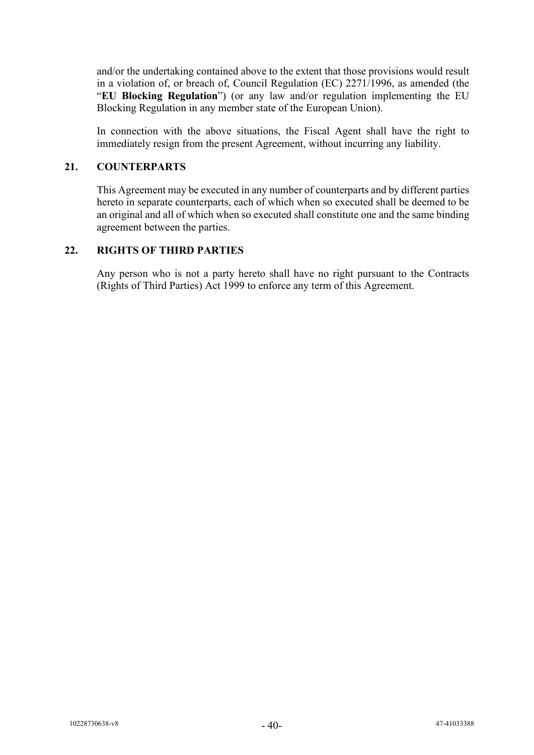and/or the undertaking contained above to the extent that those provisions would result in a violation of, or breach of, Council Regulation (EC) 2271/1996, as amended (the "**EU Blocking Regulation**") (or any law and/or regulation implementing the EU Blocking Regulation in any member state of the European Union).

In connection with the above situations, the Fiscal Agent shall have the right to immediately resign from the present Agreement, without incurring any liability.

#### **21. COUNTERPARTS**

This Agreement may be executed in any number of counterparts and by different parties hereto in separate counterparts, each of which when so executed shall be deemed to be an original and all of which when so executed shall constitute one and the same binding agreement between the parties.

## **22. RIGHTS OF THIRD PARTIES**

Any person who is not a party hereto shall have no right pursuant to the Contracts (Rights of Third Parties) Act 1999 to enforce any term of this Agreement.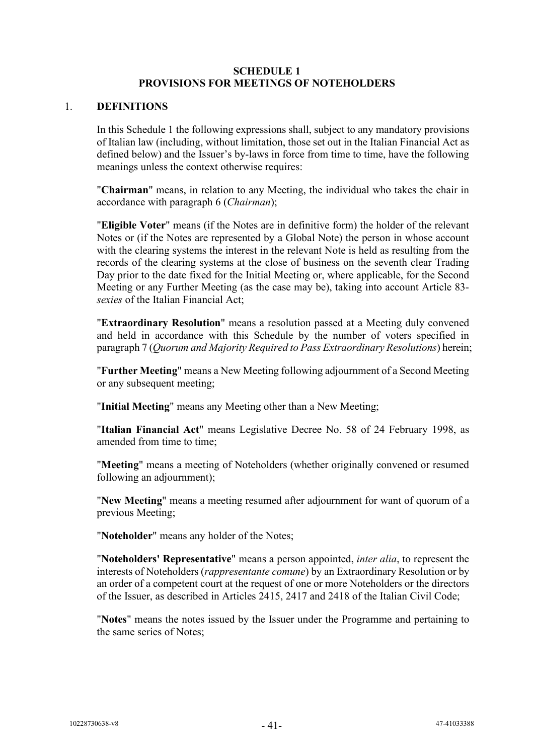#### **SCHEDULE 1 PROVISIONS FOR MEETINGS OF NOTEHOLDERS**

#### <span id="page-42-0"></span>1. **DEFINITIONS**

In this Schedule 1 the following expressions shall, subject to any mandatory provisions of Italian law (including, without limitation, those set out in the Italian Financial Act as defined below) and the Issuer's by-laws in force from time to time, have the following meanings unless the context otherwise requires:

"**Chairman**" means, in relation to any Meeting, the individual who takes the chair in accordance with paragraph 6 (*Chairman*);

"**Eligible Voter**" means (if the Notes are in definitive form) the holder of the relevant Notes or (if the Notes are represented by a Global Note) the person in whose account with the clearing systems the interest in the relevant Note is held as resulting from the records of the clearing systems at the close of business on the seventh clear Trading Day prior to the date fixed for the Initial Meeting or, where applicable, for the Second Meeting or any Further Meeting (as the case may be), taking into account Article 83 *sexies* of the Italian Financial Act;

"**Extraordinary Resolution**" means a resolution passed at a Meeting duly convened and held in accordance with this Schedule by the number of voters specified in paragraph 7 (*Quorum and Majority Required to Pass Extraordinary Resolutions*) herein;

"**Further Meeting**" means a New Meeting following adjournment of a Second Meeting or any subsequent meeting;

"**Initial Meeting**" means any Meeting other than a New Meeting;

"**Italian Financial Act**" means Legislative Decree No. 58 of 24 February 1998, as amended from time to time;

"**Meeting**" means a meeting of Noteholders (whether originally convened or resumed following an adjournment);

"**New Meeting**" means a meeting resumed after adjournment for want of quorum of a previous Meeting;

"**Noteholder**" means any holder of the Notes;

"**Noteholders' Representative**" means a person appointed, *inter alia*, to represent the interests of Noteholders (*rappresentante comune*) by an Extraordinary Resolution or by an order of a competent court at the request of one or more Noteholders or the directors of the Issuer, as described in Articles 2415, 2417 and 2418 of the Italian Civil Code;

"**Notes**" means the notes issued by the Issuer under the Programme and pertaining to the same series of Notes;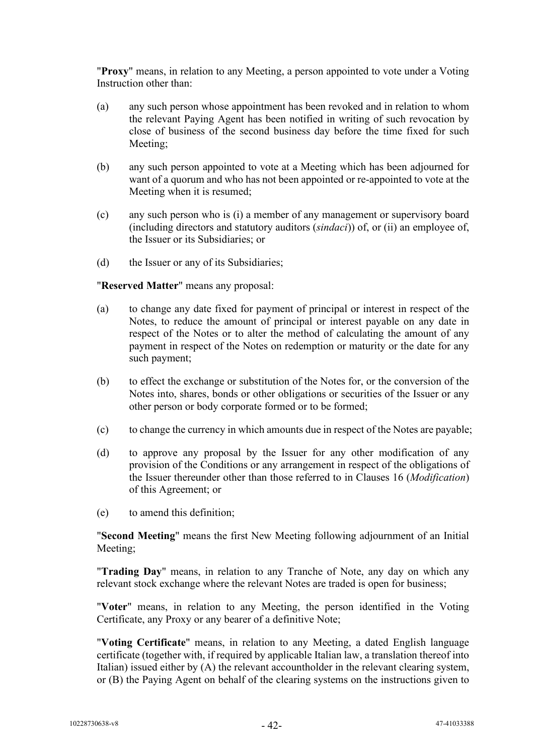"**Proxy**" means, in relation to any Meeting, a person appointed to vote under a Voting Instruction other than:

- (a) any such person whose appointment has been revoked and in relation to whom the relevant Paying Agent has been notified in writing of such revocation by close of business of the second business day before the time fixed for such Meeting;
- (b) any such person appointed to vote at a Meeting which has been adjourned for want of a quorum and who has not been appointed or re-appointed to vote at the Meeting when it is resumed;
- (c) any such person who is (i) a member of any management or supervisory board (including directors and statutory auditors (*sindaci*)) of, or (ii) an employee of, the Issuer or its Subsidiaries; or
- (d) the Issuer or any of its Subsidiaries;

#### "**Reserved Matter**" means any proposal:

- (a) to change any date fixed for payment of principal or interest in respect of the Notes, to reduce the amount of principal or interest payable on any date in respect of the Notes or to alter the method of calculating the amount of any payment in respect of the Notes on redemption or maturity or the date for any such payment;
- (b) to effect the exchange or substitution of the Notes for, or the conversion of the Notes into, shares, bonds or other obligations or securities of the Issuer or any other person or body corporate formed or to be formed;
- (c) to change the currency in which amounts due in respect of the Notes are payable;
- (d) to approve any proposal by the Issuer for any other modification of any provision of the Conditions or any arrangement in respect of the obligations of the Issuer thereunder other than those referred to in Clauses 16 (*Modification*) of this Agreement; or
- (e) to amend this definition;

"**Second Meeting**" means the first New Meeting following adjournment of an Initial Meeting;

"**Trading Day**" means, in relation to any Tranche of Note, any day on which any relevant stock exchange where the relevant Notes are traded is open for business;

"**Voter**" means, in relation to any Meeting, the person identified in the Voting Certificate, any Proxy or any bearer of a definitive Note;

"**Voting Certificate**" means, in relation to any Meeting, a dated English language certificate (together with, if required by applicable Italian law, a translation thereof into Italian) issued either by (A) the relevant accountholder in the relevant clearing system, or (B) the Paying Agent on behalf of the clearing systems on the instructions given to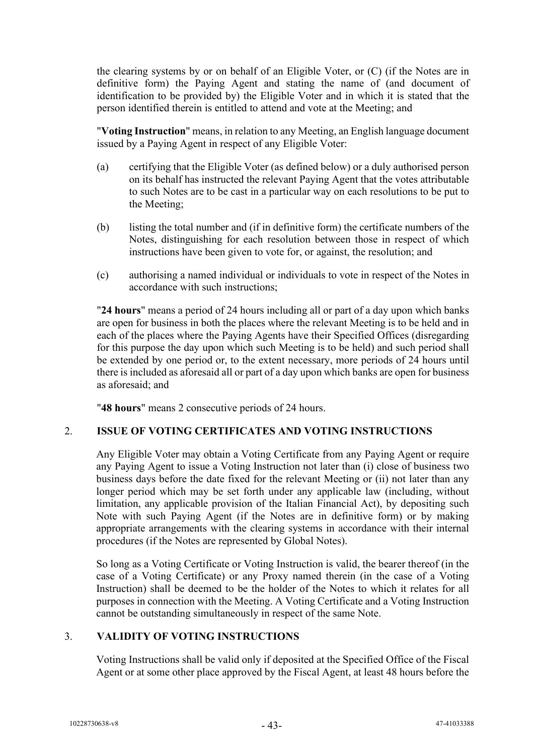the clearing systems by or on behalf of an Eligible Voter, or (C) (if the Notes are in definitive form) the Paying Agent and stating the name of (and document of identification to be provided by) the Eligible Voter and in which it is stated that the person identified therein is entitled to attend and vote at the Meeting; and

"**Voting Instruction**" means, in relation to any Meeting, an English language document issued by a Paying Agent in respect of any Eligible Voter:

- (a) certifying that the Eligible Voter (as defined below) or a duly authorised person on its behalf has instructed the relevant Paying Agent that the votes attributable to such Notes are to be cast in a particular way on each resolutions to be put to the Meeting;
- (b) listing the total number and (if in definitive form) the certificate numbers of the Notes, distinguishing for each resolution between those in respect of which instructions have been given to vote for, or against, the resolution; and
- (c) authorising a named individual or individuals to vote in respect of the Notes in accordance with such instructions;

"**24 hours**" means a period of 24 hours including all or part of a day upon which banks are open for business in both the places where the relevant Meeting is to be held and in each of the places where the Paying Agents have their Specified Offices (disregarding for this purpose the day upon which such Meeting is to be held) and such period shall be extended by one period or, to the extent necessary, more periods of 24 hours until there is included as aforesaid all or part of a day upon which banks are open for business as aforesaid; and

"**48 hours**" means 2 consecutive periods of 24 hours.

## 2. **ISSUE OF VOTING CERTIFICATES AND VOTING INSTRUCTIONS**

Any Eligible Voter may obtain a Voting Certificate from any Paying Agent or require any Paying Agent to issue a Voting Instruction not later than (i) close of business two business days before the date fixed for the relevant Meeting or (ii) not later than any longer period which may be set forth under any applicable law (including, without limitation, any applicable provision of the Italian Financial Act), by depositing such Note with such Paying Agent (if the Notes are in definitive form) or by making appropriate arrangements with the clearing systems in accordance with their internal procedures (if the Notes are represented by Global Notes).

So long as a Voting Certificate or Voting Instruction is valid, the bearer thereof (in the case of a Voting Certificate) or any Proxy named therein (in the case of a Voting Instruction) shall be deemed to be the holder of the Notes to which it relates for all purposes in connection with the Meeting. A Voting Certificate and a Voting Instruction cannot be outstanding simultaneously in respect of the same Note.

## 3. **VALIDITY OF VOTING INSTRUCTIONS**

Voting Instructions shall be valid only if deposited at the Specified Office of the Fiscal Agent or at some other place approved by the Fiscal Agent, at least 48 hours before the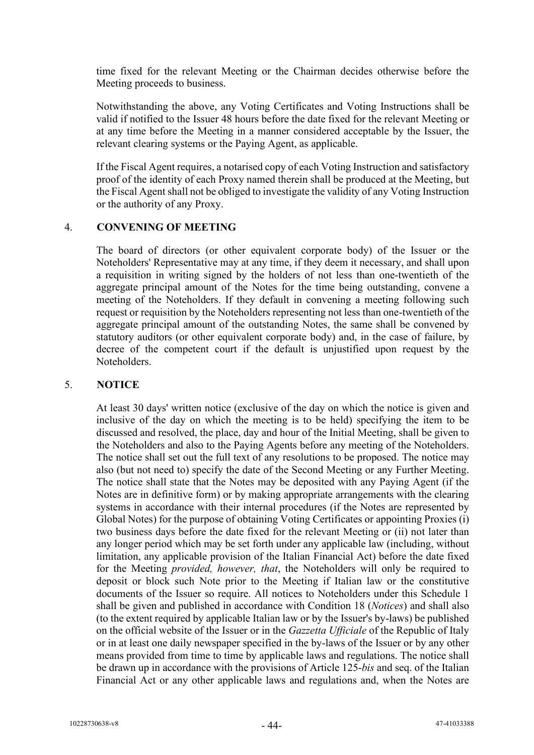time fixed for the relevant Meeting or the Chairman decides otherwise before the Meeting proceeds to business.

Notwithstanding the above, any Voting Certificates and Voting Instructions shall be valid if notified to the Issuer 48 hours before the date fixed for the relevant Meeting or at any time before the Meeting in a manner considered acceptable by the Issuer, the relevant clearing systems or the Paying Agent, as applicable.

If the Fiscal Agent requires, a notarised copy of each Voting Instruction and satisfactory proof of the identity of each Proxy named therein shall be produced at the Meeting, but the Fiscal Agent shall not be obliged to investigate the validity of any Voting Instruction or the authority of any Proxy.

#### 4. **CONVENING OF MEETING**

The board of directors (or other equivalent corporate body) of the Issuer or the Noteholders' Representative may at any time, if they deem it necessary, and shall upon a requisition in writing signed by the holders of not less than one-twentieth of the aggregate principal amount of the Notes for the time being outstanding, convene a meeting of the Noteholders. If they default in convening a meeting following such request or requisition by the Noteholders representing not less than one-twentieth of the aggregate principal amount of the outstanding Notes, the same shall be convened by statutory auditors (or other equivalent corporate body) and, in the case of failure, by decree of the competent court if the default is unjustified upon request by the Noteholders.

#### 5. **NOTICE**

At least 30 days' written notice (exclusive of the day on which the notice is given and inclusive of the day on which the meeting is to be held) specifying the item to be discussed and resolved, the place, day and hour of the Initial Meeting, shall be given to the Noteholders and also to the Paying Agents before any meeting of the Noteholders. The notice shall set out the full text of any resolutions to be proposed. The notice may also (but not need to) specify the date of the Second Meeting or any Further Meeting. The notice shall state that the Notes may be deposited with any Paying Agent (if the Notes are in definitive form) or by making appropriate arrangements with the clearing systems in accordance with their internal procedures (if the Notes are represented by Global Notes) for the purpose of obtaining Voting Certificates or appointing Proxies (i) two business days before the date fixed for the relevant Meeting or (ii) not later than any longer period which may be set forth under any applicable law (including, without limitation, any applicable provision of the Italian Financial Act) before the date fixed for the Meeting *provided, however, that*, the Noteholders will only be required to deposit or block such Note prior to the Meeting if Italian law or the constitutive documents of the Issuer so require. All notices to Noteholders under this Schedule 1 shall be given and published in accordance with Condition 18 (*Notices*) and shall also (to the extent required by applicable Italian law or by the Issuer's by-laws) be published on the official website of the Issuer or in the *Gazzetta Ufficiale* of the Republic of Italy or in at least one daily newspaper specified in the by-laws of the Issuer or by any other means provided from time to time by applicable laws and regulations. The notice shall be drawn up in accordance with the provisions of Article 125-*bis* and seq. of the Italian Financial Act or any other applicable laws and regulations and, when the Notes are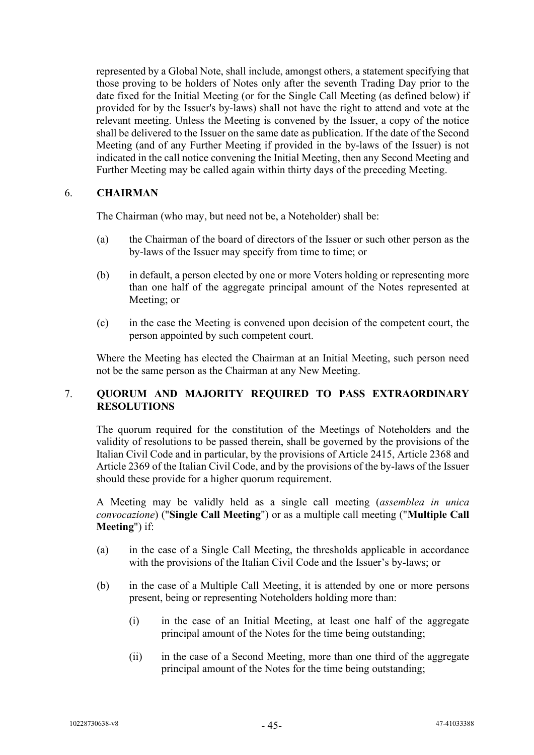represented by a Global Note, shall include, amongst others, a statement specifying that those proving to be holders of Notes only after the seventh Trading Day prior to the date fixed for the Initial Meeting (or for the Single Call Meeting (as defined below) if provided for by the Issuer's by-laws) shall not have the right to attend and vote at the relevant meeting. Unless the Meeting is convened by the Issuer, a copy of the notice shall be delivered to the Issuer on the same date as publication. If the date of the Second Meeting (and of any Further Meeting if provided in the by-laws of the Issuer) is not indicated in the call notice convening the Initial Meeting, then any Second Meeting and Further Meeting may be called again within thirty days of the preceding Meeting.

#### 6. **CHAIRMAN**

The Chairman (who may, but need not be, a Noteholder) shall be:

- (a) the Chairman of the board of directors of the Issuer or such other person as the by-laws of the Issuer may specify from time to time; or
- (b) in default, a person elected by one or more Voters holding or representing more than one half of the aggregate principal amount of the Notes represented at Meeting; or
- (c) in the case the Meeting is convened upon decision of the competent court, the person appointed by such competent court.

Where the Meeting has elected the Chairman at an Initial Meeting, such person need not be the same person as the Chairman at any New Meeting.

## 7. **QUORUM AND MAJORITY REQUIRED TO PASS EXTRAORDINARY RESOLUTIONS**

The quorum required for the constitution of the Meetings of Noteholders and the validity of resolutions to be passed therein, shall be governed by the provisions of the Italian Civil Code and in particular, by the provisions of Article 2415, Article 2368 and Article 2369 of the Italian Civil Code, and by the provisions of the by-laws of the Issuer should these provide for a higher quorum requirement.

A Meeting may be validly held as a single call meeting (*assemblea in unica convocazione*) ("**Single Call Meeting**") or as a multiple call meeting ("**Multiple Call Meeting**") if:

- (a) in the case of a Single Call Meeting, the thresholds applicable in accordance with the provisions of the Italian Civil Code and the Issuer's by-laws; or
- (b) in the case of a Multiple Call Meeting, it is attended by one or more persons present, being or representing Noteholders holding more than:
	- (i) in the case of an Initial Meeting, at least one half of the aggregate principal amount of the Notes for the time being outstanding;
	- (ii) in the case of a Second Meeting, more than one third of the aggregate principal amount of the Notes for the time being outstanding;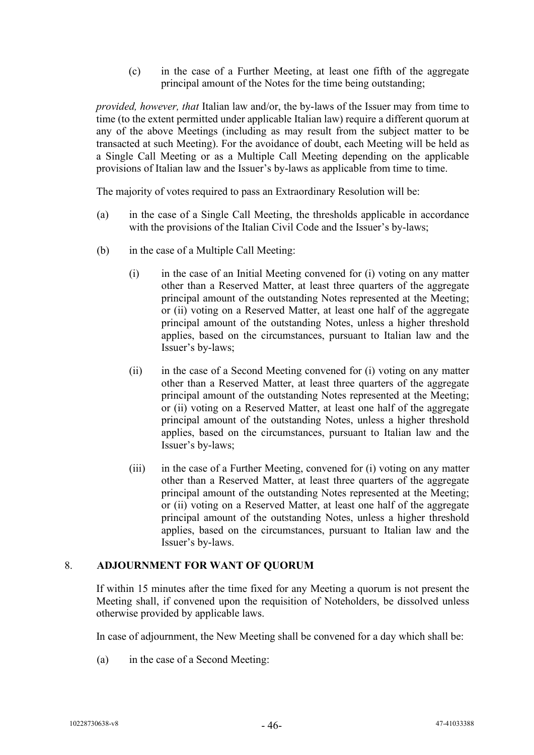(c) in the case of a Further Meeting, at least one fifth of the aggregate principal amount of the Notes for the time being outstanding;

*provided, however, that* Italian law and/or, the by-laws of the Issuer may from time to time (to the extent permitted under applicable Italian law) require a different quorum at any of the above Meetings (including as may result from the subject matter to be transacted at such Meeting). For the avoidance of doubt, each Meeting will be held as a Single Call Meeting or as a Multiple Call Meeting depending on the applicable provisions of Italian law and the Issuer's by-laws as applicable from time to time.

The majority of votes required to pass an Extraordinary Resolution will be:

- (a) in the case of a Single Call Meeting, the thresholds applicable in accordance with the provisions of the Italian Civil Code and the Issuer's by-laws;
- (b) in the case of a Multiple Call Meeting:
	- (i) in the case of an Initial Meeting convened for (i) voting on any matter other than a Reserved Matter, at least three quarters of the aggregate principal amount of the outstanding Notes represented at the Meeting; or (ii) voting on a Reserved Matter, at least one half of the aggregate principal amount of the outstanding Notes, unless a higher threshold applies, based on the circumstances, pursuant to Italian law and the Issuer's by-laws;
	- (ii) in the case of a Second Meeting convened for (i) voting on any matter other than a Reserved Matter, at least three quarters of the aggregate principal amount of the outstanding Notes represented at the Meeting; or (ii) voting on a Reserved Matter, at least one half of the aggregate principal amount of the outstanding Notes, unless a higher threshold applies, based on the circumstances, pursuant to Italian law and the Issuer's by-laws;
	- (iii) in the case of a Further Meeting, convened for (i) voting on any matter other than a Reserved Matter, at least three quarters of the aggregate principal amount of the outstanding Notes represented at the Meeting; or (ii) voting on a Reserved Matter, at least one half of the aggregate principal amount of the outstanding Notes, unless a higher threshold applies, based on the circumstances, pursuant to Italian law and the Issuer's by-laws.

#### 8. **ADJOURNMENT FOR WANT OF QUORUM**

If within 15 minutes after the time fixed for any Meeting a quorum is not present the Meeting shall, if convened upon the requisition of Noteholders, be dissolved unless otherwise provided by applicable laws.

In case of adjournment, the New Meeting shall be convened for a day which shall be:

(a) in the case of a Second Meeting: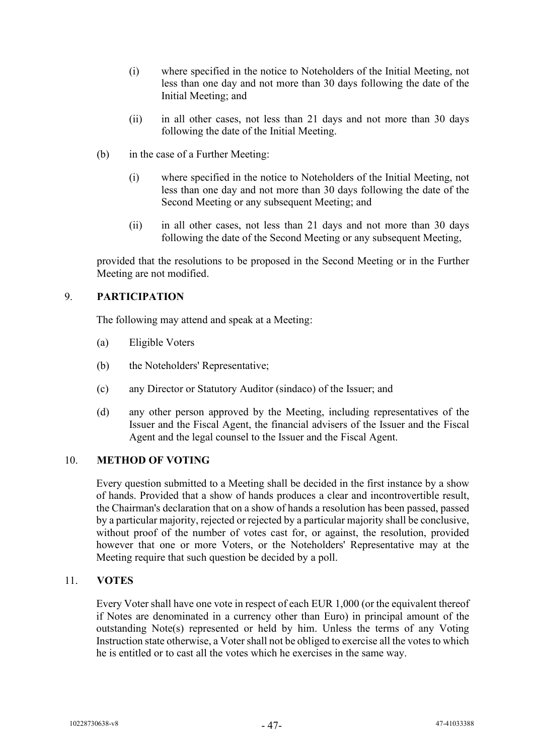- (i) where specified in the notice to Noteholders of the Initial Meeting, not less than one day and not more than 30 days following the date of the Initial Meeting; and
- (ii) in all other cases, not less than 21 days and not more than 30 days following the date of the Initial Meeting.
- (b) in the case of a Further Meeting:
	- (i) where specified in the notice to Noteholders of the Initial Meeting, not less than one day and not more than 30 days following the date of the Second Meeting or any subsequent Meeting; and
	- (ii) in all other cases, not less than 21 days and not more than 30 days following the date of the Second Meeting or any subsequent Meeting,

provided that the resolutions to be proposed in the Second Meeting or in the Further Meeting are not modified.

## 9. **PARTICIPATION**

The following may attend and speak at a Meeting:

- (a) Eligible Voters
- (b) the Noteholders' Representative;
- (c) any Director or Statutory Auditor (sindaco) of the Issuer; and
- (d) any other person approved by the Meeting, including representatives of the Issuer and the Fiscal Agent, the financial advisers of the Issuer and the Fiscal Agent and the legal counsel to the Issuer and the Fiscal Agent.

#### 10. **METHOD OF VOTING**

Every question submitted to a Meeting shall be decided in the first instance by a show of hands. Provided that a show of hands produces a clear and incontrovertible result, the Chairman's declaration that on a show of hands a resolution has been passed, passed by a particular majority, rejected or rejected by a particular majority shall be conclusive, without proof of the number of votes cast for, or against, the resolution, provided however that one or more Voters, or the Noteholders' Representative may at the Meeting require that such question be decided by a poll.

#### 11. **VOTES**

Every Voter shall have one vote in respect of each EUR 1,000 (or the equivalent thereof if Notes are denominated in a currency other than Euro) in principal amount of the outstanding Note(s) represented or held by him. Unless the terms of any Voting Instruction state otherwise, a Voter shall not be obliged to exercise all the votes to which he is entitled or to cast all the votes which he exercises in the same way.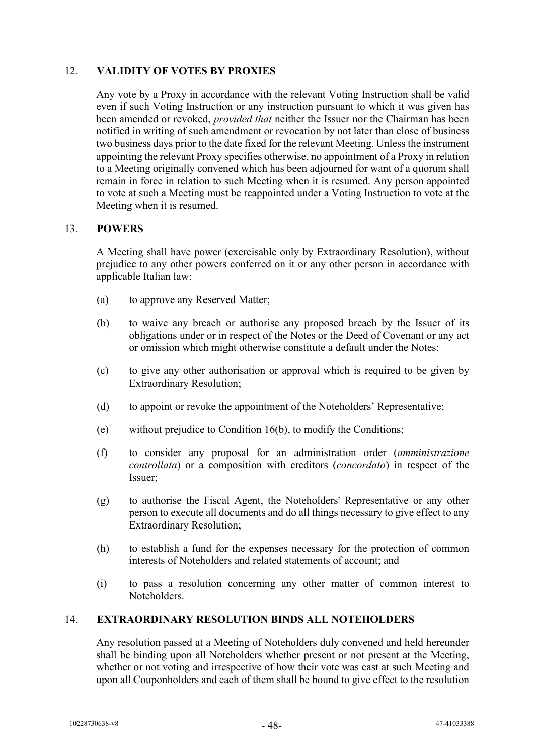## 12. **VALIDITY OF VOTES BY PROXIES**

Any vote by a Proxy in accordance with the relevant Voting Instruction shall be valid even if such Voting Instruction or any instruction pursuant to which it was given has been amended or revoked, *provided that* neither the Issuer nor the Chairman has been notified in writing of such amendment or revocation by not later than close of business two business days prior to the date fixed for the relevant Meeting. Unless the instrument appointing the relevant Proxy specifies otherwise, no appointment of a Proxy in relation to a Meeting originally convened which has been adjourned for want of a quorum shall remain in force in relation to such Meeting when it is resumed. Any person appointed to vote at such a Meeting must be reappointed under a Voting Instruction to vote at the Meeting when it is resumed.

## 13. **POWERS**

A Meeting shall have power (exercisable only by Extraordinary Resolution), without prejudice to any other powers conferred on it or any other person in accordance with applicable Italian law:

- (a) to approve any Reserved Matter;
- (b) to waive any breach or authorise any proposed breach by the Issuer of its obligations under or in respect of the Notes or the Deed of Covenant or any act or omission which might otherwise constitute a default under the Notes;
- (c) to give any other authorisation or approval which is required to be given by Extraordinary Resolution;
- (d) to appoint or revoke the appointment of the Noteholders' Representative;
- (e) without prejudice to Condition 16(b), to modify the Conditions;
- (f) to consider any proposal for an administration order (*amministrazione controllata*) or a composition with creditors (*concordato*) in respect of the Issuer;
- (g) to authorise the Fiscal Agent, the Noteholders' Representative or any other person to execute all documents and do all things necessary to give effect to any Extraordinary Resolution;
- (h) to establish a fund for the expenses necessary for the protection of common interests of Noteholders and related statements of account; and
- (i) to pass a resolution concerning any other matter of common interest to Noteholders.

#### 14. **EXTRAORDINARY RESOLUTION BINDS ALL NOTEHOLDERS**

Any resolution passed at a Meeting of Noteholders duly convened and held hereunder shall be binding upon all Noteholders whether present or not present at the Meeting, whether or not voting and irrespective of how their vote was cast at such Meeting and upon all Couponholders and each of them shall be bound to give effect to the resolution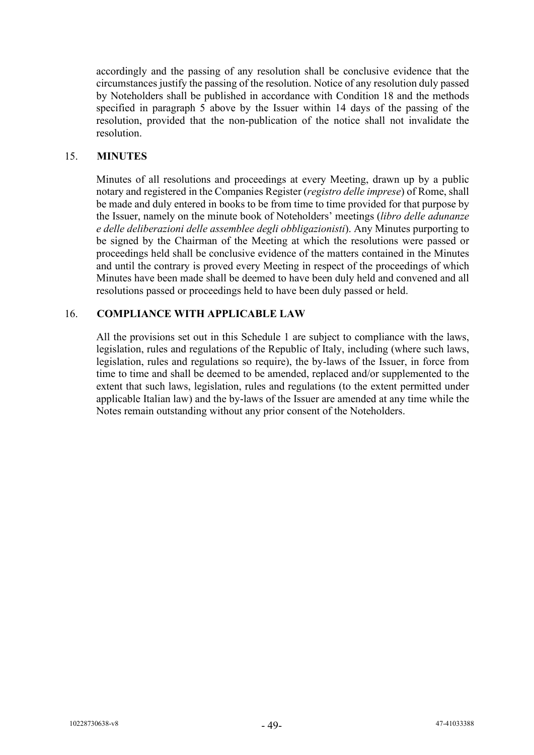accordingly and the passing of any resolution shall be conclusive evidence that the circumstances justify the passing of the resolution. Notice of any resolution duly passed by Noteholders shall be published in accordance with Condition 18 and the methods specified in paragraph 5 above by the Issuer within 14 days of the passing of the resolution, provided that the non-publication of the notice shall not invalidate the resolution.

#### 15. **MINUTES**

Minutes of all resolutions and proceedings at every Meeting, drawn up by a public notary and registered in the Companies Register (*registro delle imprese*) of Rome, shall be made and duly entered in books to be from time to time provided for that purpose by the Issuer, namely on the minute book of Noteholders' meetings (*libro delle adunanze e delle deliberazioni delle assemblee degli obbligazionisti*). Any Minutes purporting to be signed by the Chairman of the Meeting at which the resolutions were passed or proceedings held shall be conclusive evidence of the matters contained in the Minutes and until the contrary is proved every Meeting in respect of the proceedings of which Minutes have been made shall be deemed to have been duly held and convened and all resolutions passed or proceedings held to have been duly passed or held.

## 16. **COMPLIANCE WITH APPLICABLE LAW**

All the provisions set out in this Schedule 1 are subject to compliance with the laws, legislation, rules and regulations of the Republic of Italy, including (where such laws, legislation, rules and regulations so require), the by-laws of the Issuer, in force from time to time and shall be deemed to be amended, replaced and/or supplemented to the extent that such laws, legislation, rules and regulations (to the extent permitted under applicable Italian law) and the by-laws of the Issuer are amended at any time while the Notes remain outstanding without any prior consent of the Noteholders.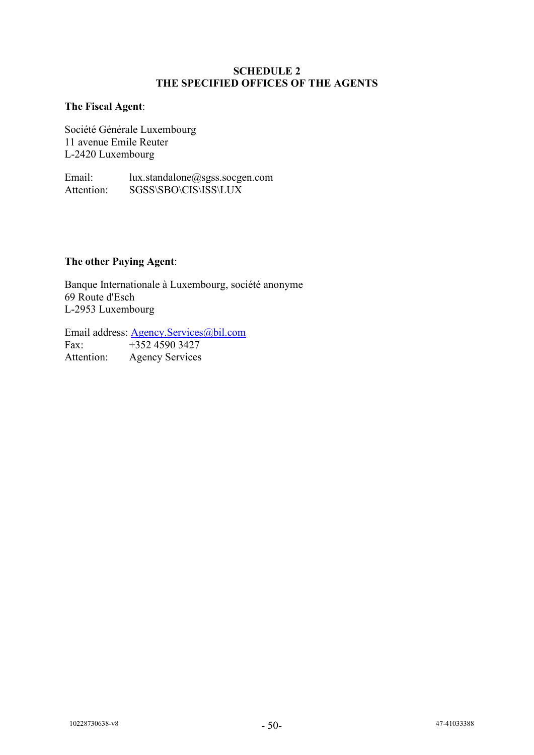#### **SCHEDULE 2 THE SPECIFIED OFFICES OF THE AGENTS**

#### <span id="page-51-0"></span>**The Fiscal Agent**:

Société Générale Luxembourg 11 avenue Emile Reuter L-2420 Luxembourg

Email: lux.standalone@sgss.socgen.com Attention: SGSS\SBO\CIS\ISS\LUX

## **The other Paying Agent**:

Banque Internationale à Luxembourg, société anonyme 69 Route d'Esch L-2953 Luxembourg

Email address: <u>Agency.Services@bil.com</u><br>Fax: +352 4590 3427  $+352\,4590\,3427$ Attention: Agency Services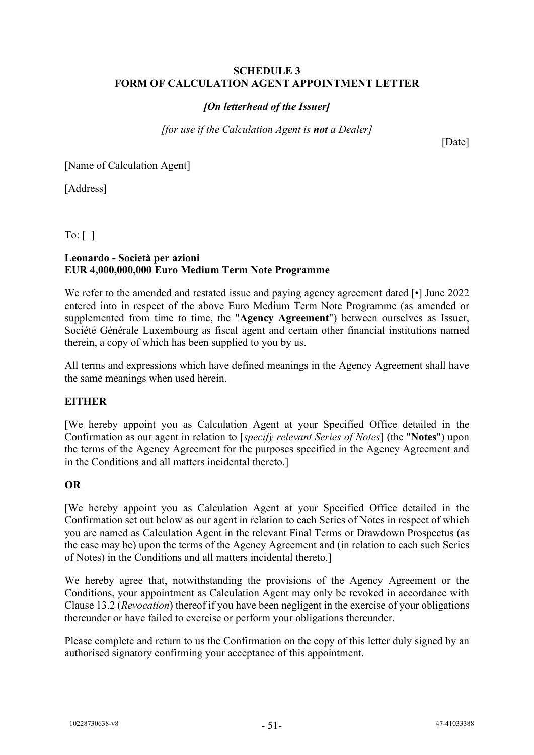#### <span id="page-52-0"></span>**SCHEDULE 3 FORM OF CALCULATION AGENT APPOINTMENT LETTER**

## *[On letterhead of the Issuer]*

*[for use if the Calculation Agent is not a Dealer]*

[Date]

[Name of Calculation Agent]

[Address]

To:  $\lceil \ \rceil$ 

#### **Leonardo - Società per azioni EUR 4,000,000,000 Euro Medium Term Note Programme**

We refer to the amended and restated issue and paying agency agreement dated [•] June 2022 entered into in respect of the above Euro Medium Term Note Programme (as amended or supplemented from time to time, the "**Agency Agreement**") between ourselves as Issuer, Société Générale Luxembourg as fiscal agent and certain other financial institutions named therein, a copy of which has been supplied to you by us.

All terms and expressions which have defined meanings in the Agency Agreement shall have the same meanings when used herein.

## **EITHER**

[We hereby appoint you as Calculation Agent at your Specified Office detailed in the Confirmation as our agent in relation to [*specify relevant Series of Notes*] (the "**Notes**") upon the terms of the Agency Agreement for the purposes specified in the Agency Agreement and in the Conditions and all matters incidental thereto.]

#### **OR**

[We hereby appoint you as Calculation Agent at your Specified Office detailed in the Confirmation set out below as our agent in relation to each Series of Notes in respect of which you are named as Calculation Agent in the relevant Final Terms or Drawdown Prospectus (as the case may be) upon the terms of the Agency Agreement and (in relation to each such Series of Notes) in the Conditions and all matters incidental thereto.]

We hereby agree that, notwithstanding the provisions of the Agency Agreement or the Conditions, your appointment as Calculation Agent may only be revoked in accordance with Clause [13.2](#page-31-1) (*Revocation*) thereof if you have been negligent in the exercise of your obligations thereunder or have failed to exercise or perform your obligations thereunder.

Please complete and return to us the Confirmation on the copy of this letter duly signed by an authorised signatory confirming your acceptance of this appointment.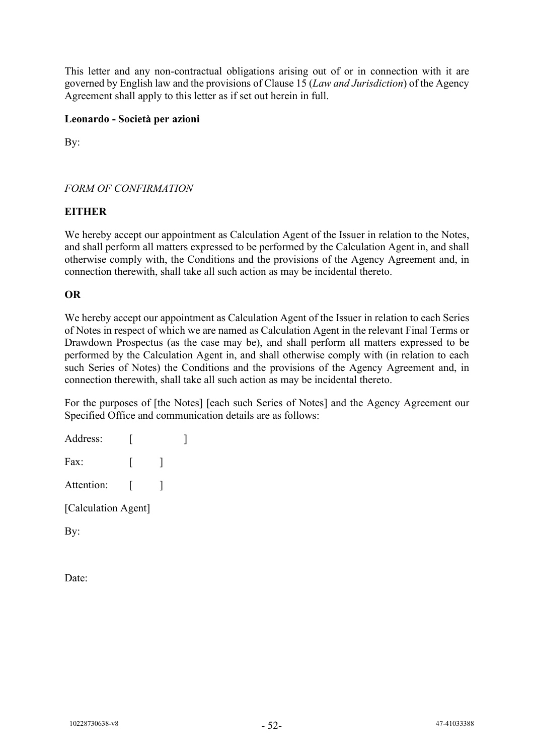This letter and any non-contractual obligations arising out of or in connection with it are governed by English law and the provisions of Clause [15](#page-34-0) (*Law and Jurisdiction*) of the Agency Agreement shall apply to this letter as if set out herein in full.

## **Leonardo - Società per azioni**

By:

## *FORM OF CONFIRMATION*

## **EITHER**

We hereby accept our appointment as Calculation Agent of the Issuer in relation to the Notes, and shall perform all matters expressed to be performed by the Calculation Agent in, and shall otherwise comply with, the Conditions and the provisions of the Agency Agreement and, in connection therewith, shall take all such action as may be incidental thereto.

## **OR**

We hereby accept our appointment as Calculation Agent of the Issuer in relation to each Series of Notes in respect of which we are named as Calculation Agent in the relevant Final Terms or Drawdown Prospectus (as the case may be), and shall perform all matters expressed to be performed by the Calculation Agent in, and shall otherwise comply with (in relation to each such Series of Notes) the Conditions and the provisions of the Agency Agreement and, in connection therewith, shall take all such action as may be incidental thereto.

For the purposes of [the Notes] [each such Series of Notes] and the Agency Agreement our Specified Office and communication details are as follows:

| Address:            |  |  |  |
|---------------------|--|--|--|
| Fax:                |  |  |  |
| Attention:          |  |  |  |
| [Calculation Agent] |  |  |  |
|                     |  |  |  |

By:

Date: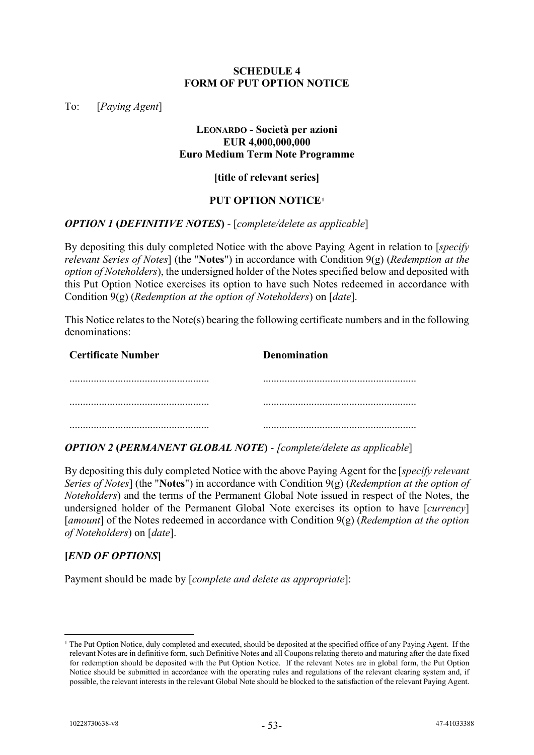#### **SCHEDULE 4 FORM OF PUT OPTION NOTICE**

<span id="page-54-0"></span>To: [*Paying Agent*]

#### **LEONARDO - Società per azioni EUR 4,000,000,000 Euro Medium Term Note Programme**

#### **[title of relevant series]**

#### **PUT OPTION NOTICE[1](#page-54-1)**

#### *OPTION 1* **(***DEFINITIVE NOTES***)** *-* [*complete/delete as applicable*]

By depositing this duly completed Notice with the above Paying Agent in relation to [*specify relevant Series of Notes*] (the "**Notes**") in accordance with Condition 9(g) (*Redemption at the option of Noteholders*), the undersigned holder of the Notes specified below and deposited with this Put Option Notice exercises its option to have such Notes redeemed in accordance with Condition 9(g) (*Redemption at the option of Noteholders*) on [*date*].

This Notice relates to the Note(s) bearing the following certificate numbers and in the following denominations:

| <b>Certificate Number</b> | <b>Denomination</b> |
|---------------------------|---------------------|
|                           |                     |
|                           |                     |
|                           |                     |

#### *OPTION 2* **(***PERMANENT GLOBAL NOTE***)** - *[complete/delete as applicable*]

By depositing this duly completed Notice with the above Paying Agent for the [*specify relevant Series of Notes*] (the "**Notes**") in accordance with Condition 9(g) (*Redemption at the option of Noteholders*) and the terms of the Permanent Global Note issued in respect of the Notes, the undersigned holder of the Permanent Global Note exercises its option to have [*currency*] [*amount*] of the Notes redeemed in accordance with Condition 9(g) (*Redemption at the option of Noteholders*) on [*date*].

#### **[***END OF OPTIONS***]**

Payment should be made by [*complete and delete as appropriate*]:

<span id="page-54-1"></span> $1$  The Put Option Notice, duly completed and executed, should be deposited at the specified office of any Paying Agent. If the relevant Notes are in definitive form, such Definitive Notes and all Coupons relating thereto and maturing after the date fixed for redemption should be deposited with the Put Option Notice. If the relevant Notes are in global form, the Put Option Notice should be submitted in accordance with the operating rules and regulations of the relevant clearing system and, if possible, the relevant interests in the relevant Global Note should be blocked to the satisfaction of the relevant Paying Agent.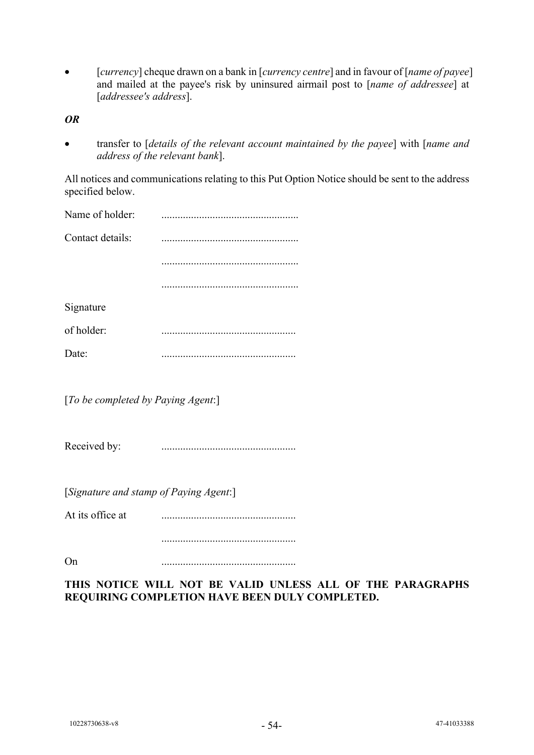• [*currency*] cheque drawn on a bank in [*currency centre*] and in favour of [*name of payee*] and mailed at the payee's risk by uninsured airmail post to [*name of addressee*] at [*addressee's address*].

*OR*

• transfer to [*details of the relevant account maintained by the payee*] with [*name and address of the relevant bank*].

All notices and communications relating to this Put Option Notice should be sent to the address specified below.

| Name of holder:  |  |
|------------------|--|
| Contact details: |  |
|                  |  |
|                  |  |
| Signature        |  |
| of holder:       |  |
| Date:            |  |
|                  |  |

[*To be completed by Paying Agent*:]

Received by: ..................................................

[*Signature and stamp of Paying Agent*:]

At its office at ..................................................

On ..................................................

## **THIS NOTICE WILL NOT BE VALID UNLESS ALL OF THE PARAGRAPHS REQUIRING COMPLETION HAVE BEEN DULY COMPLETED.**

..................................................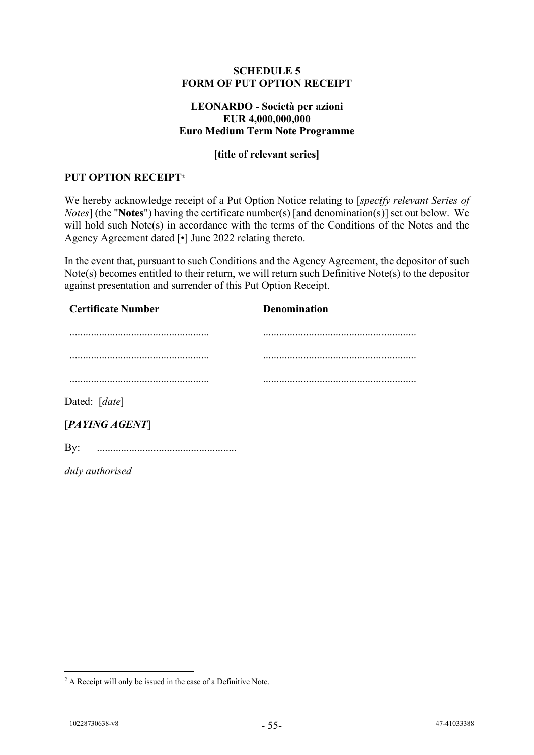#### **SCHEDULE 5 FORM OF PUT OPTION RECEIPT**

#### **LEONARDO - Società per azioni EUR 4,000,000,000 Euro Medium Term Note Programme**

## **[title of relevant series]**

#### <span id="page-56-0"></span>**PUT OPTION RECEIPT[2](#page-56-1)**

We hereby acknowledge receipt of a Put Option Notice relating to [*specify relevant Series of Notes*] (the "**Notes**") having the certificate number(s) [and denomination(s)] set out below. We will hold such Note(s) in accordance with the terms of the Conditions of the Notes and the Agency Agreement dated [•] June 2022 relating thereto.

In the event that, pursuant to such Conditions and the Agency Agreement, the depositor of such Note(s) becomes entitled to their return, we will return such Definitive Note(s) to the depositor against presentation and surrender of this Put Option Receipt.

| <b>Certificate Number</b> | <b>Denomination</b> |
|---------------------------|---------------------|
|                           |                     |
|                           |                     |
|                           |                     |
| Dated: [date]             |                     |
| [PAYING AGENT]            |                     |
| $\gamma$ :                |                     |
| duly authorised           |                     |

<span id="page-56-1"></span><sup>&</sup>lt;sup>2</sup> A Receipt will only be issued in the case of a Definitive Note.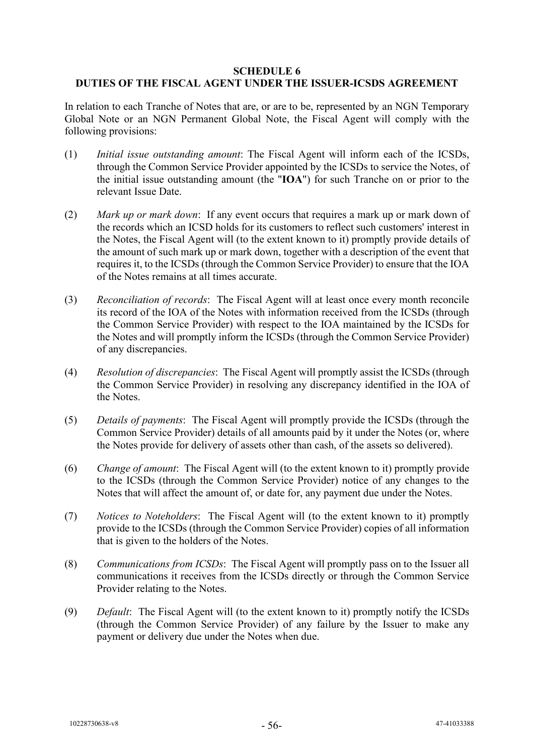#### **SCHEDULE 6 DUTIES OF THE FISCAL AGENT UNDER THE ISSUER-ICSDS AGREEMENT**

In relation to each Tranche of Notes that are, or are to be, represented by an NGN Temporary Global Note or an NGN Permanent Global Note, the Fiscal Agent will comply with the following provisions:

- (1) *Initial issue outstanding amount*: The Fiscal Agent will inform each of the ICSDs, through the Common Service Provider appointed by the ICSDs to service the Notes, of the initial issue outstanding amount (the "**IOA**") for such Tranche on or prior to the relevant Issue Date.
- (2) *Mark up or mark down*: If any event occurs that requires a mark up or mark down of the records which an ICSD holds for its customers to reflect such customers' interest in the Notes, the Fiscal Agent will (to the extent known to it) promptly provide details of the amount of such mark up or mark down, together with a description of the event that requires it, to the ICSDs (through the Common Service Provider) to ensure that the IOA of the Notes remains at all times accurate.
- (3) *Reconciliation of records*: The Fiscal Agent will at least once every month reconcile its record of the IOA of the Notes with information received from the ICSDs (through the Common Service Provider) with respect to the IOA maintained by the ICSDs for the Notes and will promptly inform the ICSDs (through the Common Service Provider) of any discrepancies.
- (4) *Resolution of discrepancies*: The Fiscal Agent will promptly assist the ICSDs (through the Common Service Provider) in resolving any discrepancy identified in the IOA of the Notes.
- (5) *Details of payments*: The Fiscal Agent will promptly provide the ICSDs (through the Common Service Provider) details of all amounts paid by it under the Notes (or, where the Notes provide for delivery of assets other than cash, of the assets so delivered).
- (6) *Change of amount*:The Fiscal Agent will (to the extent known to it) promptly provide to the ICSDs (through the Common Service Provider) notice of any changes to the Notes that will affect the amount of, or date for, any payment due under the Notes.
- (7) *Notices to Noteholders*: The Fiscal Agent will (to the extent known to it) promptly provide to the ICSDs (through the Common Service Provider) copies of all information that is given to the holders of the Notes.
- (8) *Communications from ICSDs*: The Fiscal Agent will promptly pass on to the Issuer all communications it receives from the ICSDs directly or through the Common Service Provider relating to the Notes.
- (9) *Default*: The Fiscal Agent will (to the extent known to it) promptly notify the ICSDs (through the Common Service Provider) of any failure by the Issuer to make any payment or delivery due under the Notes when due.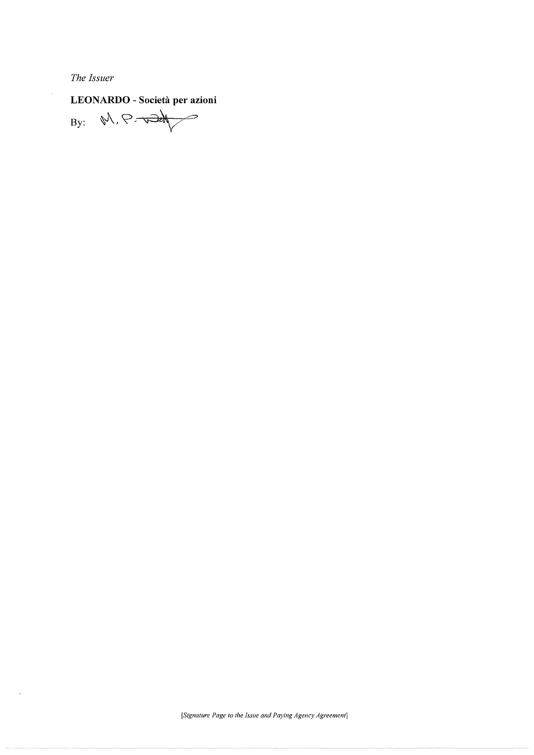The Issuer

 $\cdot$ 

LEONARDO - Società per azioni<br>By:  $\sqrt[n]{\sqrt{n}}$ 

[Signature Page to the Issue and Paying Agency Agreement]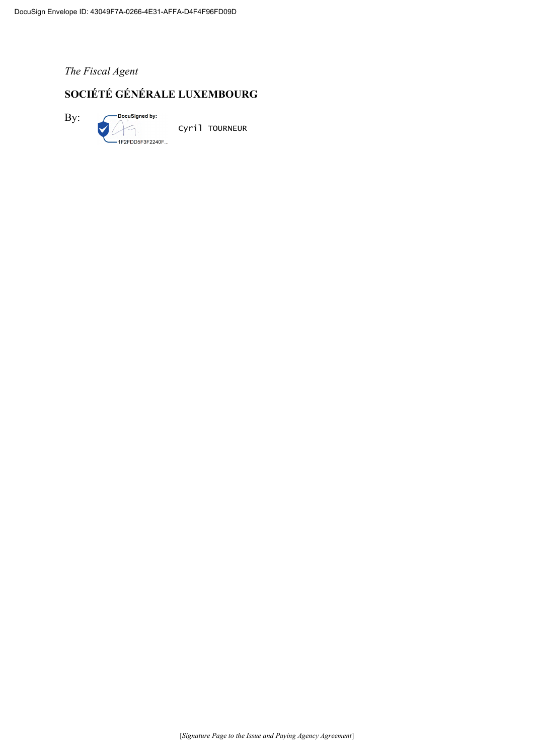*The Fiscal Agent*

## **SOCIÉTÉ GÉNÉRALE LUXEMBOURG**

By:

Cyril TOURNEUR

1F2FDD5F3F2240F...

-DocuSigned by: